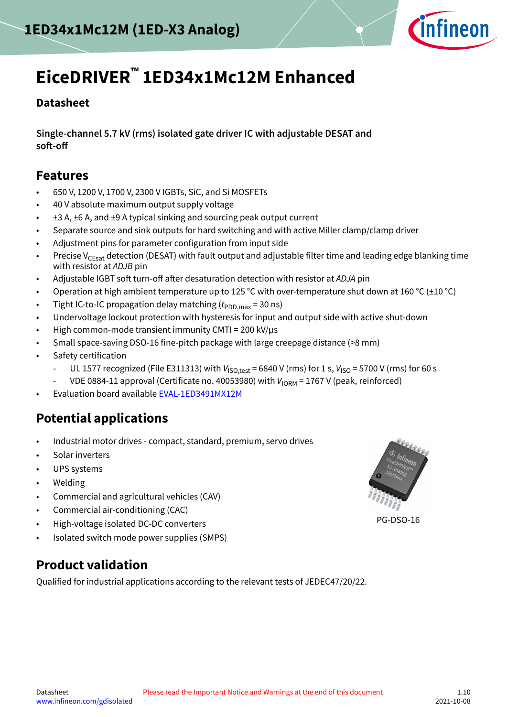

# **EiceDRIVER™ 1ED34x1Mc12M Enhanced**

### **Datasheet**

**Single-channel 5.7 kV (rms) isolated gate driver IC with adjustable DESAT and soft-off**

### **Features**

- 650 V, 1200 V, 1700 V, 2300 V IGBTs, SiC, and Si MOSFETs
- 40 V absolute maximum output supply voltage
- ±3 A, ±6 A, and ±9 A typical sinking and sourcing peak output current
- Separate source and sink outputs for hard switching and with active Miller clamp/clamp driver
- Adjustment pins for parameter configuration from input side
- Precise V<sub>CEsat</sub> detection (DESAT) with fault output and adjustable filter time and leading edge blanking time with resistor at ADJB pin
- Adjustable IGBT soft turn-off after desaturation detection with resistor at ADJA pin
- Operation at high ambient temperature up to 125 °C with over-temperature shut down at 160 °C ( $\pm$ 10 °C)
- Tight IC-to-IC propagation delay matching  $(t_{PDD,max} = 30 \text{ ns})$
- Undervoltage lockout protection with hysteresis for input and output side with active shut-down
- High common-mode transient immunity CMTI = 200 kV/µs
- Small space-saving DSO-16 fine-pitch package with large creepage distance (>8 mm)
- Safety certification
	- UL 1577 recognized (File E311313) with  $V_{\text{ISO.test}}$  = 6840 V (rms) for 1 s,  $V_{\text{ISO}}$  = 5700 V (rms) for 60 s
	- VDE 0884-11 approval (Certificate no. 40053980) with  $V_{\text{IORM}}$  = 1767 V (peak, reinforced)
- Evaluation board available [EVAL-1ED3491MX12M](https://www.infineon.com/cms/en/product/evaluation-boards/eval-1ed3491mx12m/)

# **Potential applications**

- Industrial motor drives compact, standard, premium, servo drives
- Solar inverters
- UPS systems
- Welding
- Commercial and agricultural vehicles (CAV)
- Commercial air-conditioning (CAC)
- High-voltage isolated DC-DC converters
- Isolated switch mode power supplies (SMPS)

PG-DSO-16

# **Product validation**

Qualified for industrial applications according to the relevant tests of JEDEC47/20/22.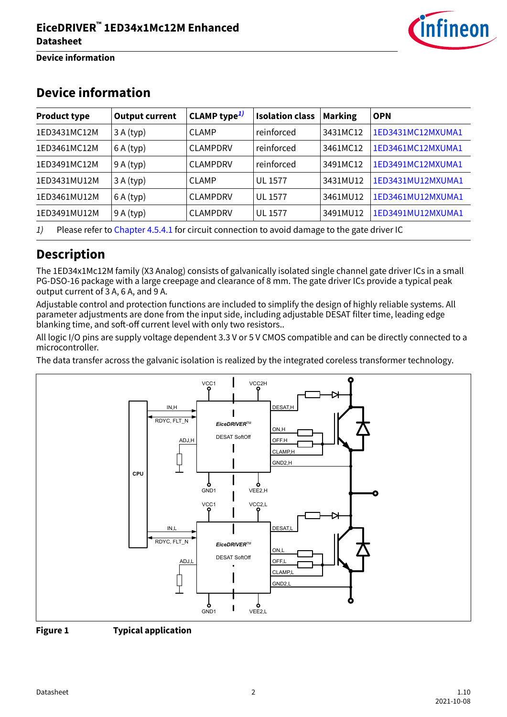

**Device information**

| <b>Product type</b> | <b>Output current</b> | CLAMP type <sup>1)</sup> | <b>Isolation class</b> | <b>Marking</b> | <b>OPN</b>        |
|---------------------|-----------------------|--------------------------|------------------------|----------------|-------------------|
| 1ED3431MC12M        | 3A(typ)               | <b>CLAMP</b>             | reinforced             | 3431MC12       | 1ED3431MC12MXUMA1 |
| 1ED3461MC12M        | 6A(typ)               | <b>CLAMPDRV</b>          | reinforced             | 3461MC12       | 1ED3461MC12MXUMA1 |
| 1ED3491MC12M        | 9A(typ)               | <b>CLAMPDRV</b>          | reinforced             | 3491MC12       | 1ED3491MC12MXUMA1 |
| 1ED3431MU12M        | 3A(typ)               | <b>CLAMP</b>             | <b>UL 1577</b>         | 3431MU12       | 1ED3431MU12MXUMA1 |
| 1ED3461MU12M        | 6A(typ)               | <b>CLAMPDRV</b>          | <b>UL 1577</b>         | 3461MU12       | 1ED3461MU12MXUMA1 |
| 1ED3491MU12M        | 9A(typ)               | <b>CLAMPDRV</b>          | UL 1577                | 3491MU12       | 1ED3491MU12MXUMA1 |

# **Device information**

1) Please refer to [Chapter 4.5.4.1](#page-23-0) for circuit connection to avoid damage to the gate driver IC

# **Description**

The 1ED34x1Mc12M family (X3 Analog) consists of galvanically isolated single channel gate driver ICs in a small PG-DSO-16 package with a large creepage and clearance of 8 mm. The gate driver ICs provide a typical peak output current of 3 A, 6 A, and 9 A.

Adjustable control and protection functions are included to simplify the design of highly reliable systems. All parameter adjustments are done from the input side, including adjustable DESAT filter time, leading edge blanking time, and soft-off current level with only two resistors..

All logic I/O pins are supply voltage dependent 3.3 V or 5 V CMOS compatible and can be directly connected to a microcontroller.

The data transfer across the galvanic isolation is realized by the integrated coreless transformer technology.



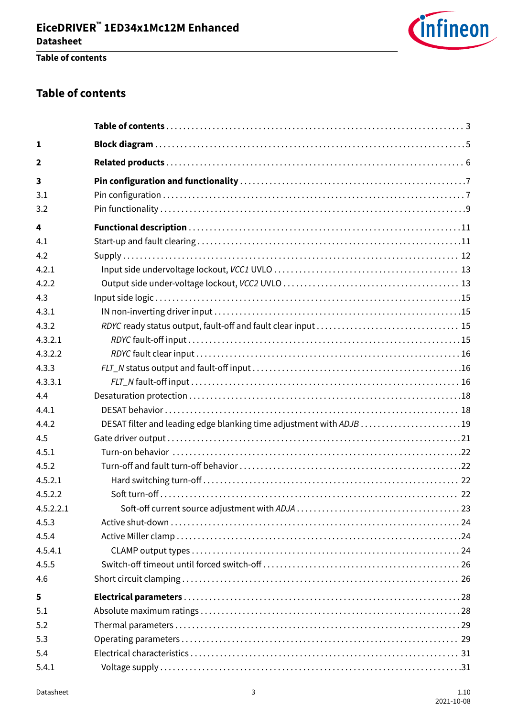

### **Table of contents**

### **Table of contents**

| $\mathbf{1}$ |                                                                     |
|--------------|---------------------------------------------------------------------|
| $\mathbf{2}$ |                                                                     |
| 3            |                                                                     |
| 3.1          |                                                                     |
| 3.2          |                                                                     |
| 4            |                                                                     |
| 4.1          |                                                                     |
| 4.2          |                                                                     |
| 4.2.1        |                                                                     |
| 4.2.2        |                                                                     |
| 4.3          |                                                                     |
| 4.3.1        |                                                                     |
| 4.3.2        |                                                                     |
| 4.3.2.1      |                                                                     |
| 4.3.2.2      |                                                                     |
| 4.3.3        |                                                                     |
| 4.3.3.1      |                                                                     |
| 4.4          |                                                                     |
| 4.4.1        |                                                                     |
| 4.4.2        | DESAT filter and leading edge blanking time adjustment with ADJB 19 |
| 4.5          |                                                                     |
| 4.5.1        |                                                                     |
| 4.5.2        |                                                                     |
| 4.5.2.1      |                                                                     |
| 4.5.2.2      |                                                                     |
| 4.5.2.2.1    |                                                                     |
| 4.5.3        |                                                                     |
| 4.5.4        |                                                                     |
| 4.5.4.1      |                                                                     |
| 4.5.5        |                                                                     |
| 4.6          |                                                                     |
| 5            |                                                                     |
| 5.1          |                                                                     |
| 5.2          |                                                                     |
| 5.3          |                                                                     |
| 5.4          |                                                                     |
| 5.4.1        |                                                                     |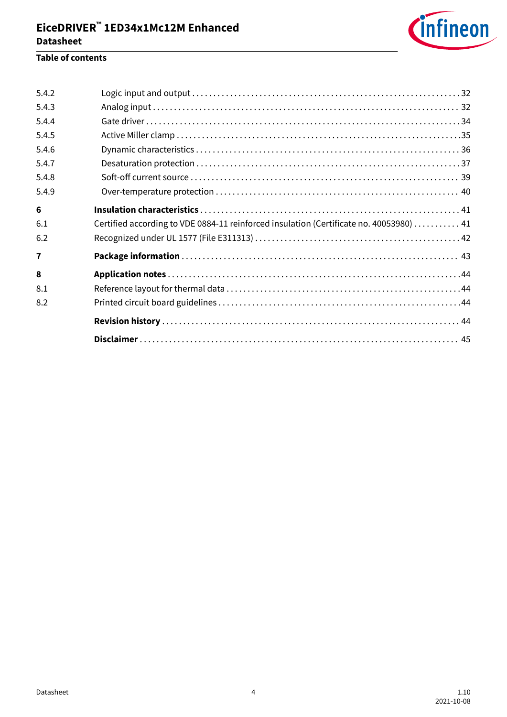

### **Table of contents**

| 5.4.2        |                                                                                        |
|--------------|----------------------------------------------------------------------------------------|
| 5.4.3        |                                                                                        |
| 5.4.4        |                                                                                        |
| 5.4.5        |                                                                                        |
| 5.4.6        |                                                                                        |
| 5.4.7        |                                                                                        |
| 5.4.8        |                                                                                        |
| 5.4.9        |                                                                                        |
| 6            |                                                                                        |
| 6.1          | Certified according to VDE 0884-11 reinforced insulation (Certificate no. 40053980) 41 |
| 6.2          |                                                                                        |
| 7            |                                                                                        |
| $\mathbf{8}$ |                                                                                        |
| 8.1          |                                                                                        |
| 8.2          |                                                                                        |
|              |                                                                                        |
|              |                                                                                        |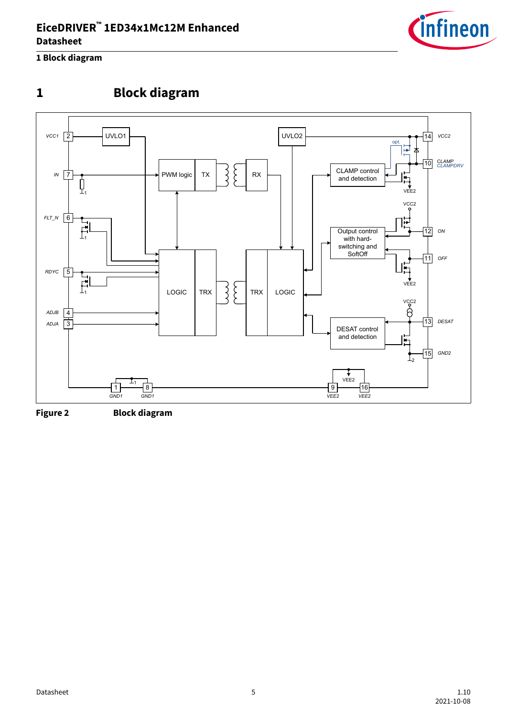

<span id="page-4-0"></span>**1 Block diagram**

# **1 Block diagram**



**Figure 2 Block diagram**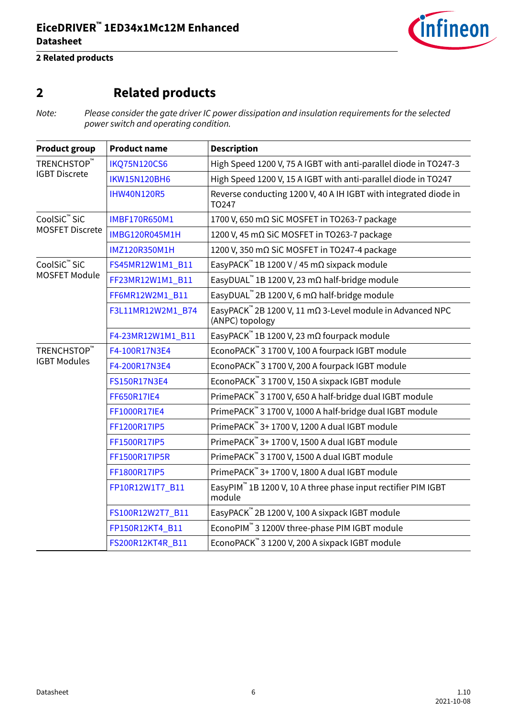

### <span id="page-5-0"></span>**2 Related products**

# **2 Related products**

Note: Please consider the gate driver IC power dissipation and insulation requirements for the selected power switch and operating condition.

| <b>Product group</b>               | <b>Product name</b>  | <b>Description</b>                                                                               |  |  |  |  |  |
|------------------------------------|----------------------|--------------------------------------------------------------------------------------------------|--|--|--|--|--|
| TRENCHSTOP™                        | <b>IKQ75N120CS6</b>  | High Speed 1200 V, 75 A IGBT with anti-parallel diode in TO247-3                                 |  |  |  |  |  |
| <b>IGBT Discrete</b>               | <b>IKW15N120BH6</b>  | High Speed 1200 V, 15 A IGBT with anti-parallel diode in TO247                                   |  |  |  |  |  |
|                                    | <b>IHW40N120R5</b>   | Reverse conducting 1200 V, 40 A IH IGBT with integrated diode in<br>TO247                        |  |  |  |  |  |
| CoolSiC <sup>™</sup> SiC           | <b>IMBF170R650M1</b> | 1700 V, 650 mΩ SiC MOSFET in TO263-7 package                                                     |  |  |  |  |  |
| <b>MOSFET Discrete</b>             | IMBG120R045M1H       | 1200 V, 45 mΩ SiC MOSFET in TO263-7 package                                                      |  |  |  |  |  |
|                                    | IMZ120R350M1H        | 1200 V, 350 mΩ SiC MOSFET in TO247-4 package                                                     |  |  |  |  |  |
| CoolSiC™ SiC                       | FS45MR12W1M1_B11     | EasyPACK <sup>™</sup> 1B 1200 V / 45 mΩ sixpack module                                           |  |  |  |  |  |
| <b>MOSFET Module</b>               | FF23MR12W1M1 B11     | EasyDUAL <sup>™</sup> 1B 1200 V, 23 mΩ half-bridge module                                        |  |  |  |  |  |
|                                    | FF6MR12W2M1_B11      | EasyDUAL <sup>™</sup> 2B 1200 V, 6 mΩ half-bridge module                                         |  |  |  |  |  |
|                                    | F3L11MR12W2M1_B74    | EasyPACK <sup>™</sup> 2B 1200 V, 11 m $\Omega$ 3-Level module in Advanced NPC<br>(ANPC) topology |  |  |  |  |  |
|                                    | F4-23MR12W1M1_B11    | EasyPACK <sup>™</sup> 1B 1200 V, 23 mΩ fourpack module                                           |  |  |  |  |  |
| TRENCHSTOP™<br><b>IGBT Modules</b> | F4-100R17N3E4        | EconoPACK <sup>™</sup> 3 1700 V, 100 A fourpack IGBT module                                      |  |  |  |  |  |
|                                    | F4-200R17N3E4        | EconoPACK™ 3 1700 V, 200 A fourpack IGBT module                                                  |  |  |  |  |  |
|                                    | FS150R17N3E4         | EconoPACK™ 3 1700 V, 150 A sixpack IGBT module                                                   |  |  |  |  |  |
|                                    | FF650R17IE4          | PrimePACK™ 3 1700 V, 650 A half-bridge dual IGBT module                                          |  |  |  |  |  |
|                                    | FF1000R17IE4         | PrimePACK <sup>™</sup> 3 1700 V, 1000 A half-bridge dual IGBT module                             |  |  |  |  |  |
|                                    | FF1200R17IP5         | PrimePACK <sup>™</sup> 3+ 1700 V, 1200 A dual IGBT module                                        |  |  |  |  |  |
|                                    | FF1500R17IP5         | PrimePACK <sup>™</sup> 3+ 1700 V, 1500 A dual IGBT module                                        |  |  |  |  |  |
|                                    | FF1500R17IP5R        | PrimePACK™ 3 1700 V, 1500 A dual IGBT module                                                     |  |  |  |  |  |
|                                    | FF1800R17IP5         | PrimePACK™ 3+ 1700 V, 1800 A dual IGBT module                                                    |  |  |  |  |  |
|                                    | FP10R12W1T7_B11      | EasyPIM™ 1B 1200 V, 10 A three phase input rectifier PIM IGBT<br>module                          |  |  |  |  |  |
|                                    | FS100R12W2T7_B11     | EasyPACK <sup>™</sup> 2B 1200 V, 100 A sixpack IGBT module                                       |  |  |  |  |  |
|                                    | FP150R12KT4_B11      | EconoPIM™ 3 1200V three-phase PIM IGBT module                                                    |  |  |  |  |  |
|                                    | FS200R12KT4R_B11     | EconoPACK <sup>™</sup> 3 1200 V, 200 A sixpack IGBT module                                       |  |  |  |  |  |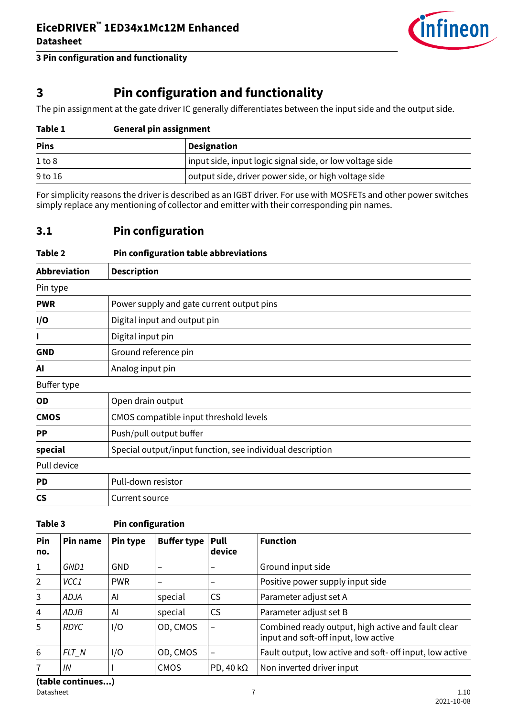

# <span id="page-6-0"></span>**3 Pin configuration and functionality**

The pin assignment at the gate driver IC generally differentiates between the input side and the output side.

| Table 1     | <b>General pin assignment</b>                                     |  |  |  |  |  |
|-------------|-------------------------------------------------------------------|--|--|--|--|--|
| <b>Pins</b> | <b>Designation</b>                                                |  |  |  |  |  |
| 1 to 8      | input side, input logic signal side, or low voltage side          |  |  |  |  |  |
| 9 to 16     | $\mathsf{I}$ output side, driver power side, or high voltage side |  |  |  |  |  |

For simplicity reasons the driver is described as an IGBT driver. For use with MOSFETs and other power switches simply replace any mentioning of collector and emitter with their corresponding pin names.

### **3.1 Pin configuration**

| Table 2                  | Pin configuration table abbreviations                     |
|--------------------------|-----------------------------------------------------------|
| <b>Abbreviation</b>      | <b>Description</b>                                        |
| Pin type                 |                                                           |
| <b>PWR</b>               | Power supply and gate current output pins                 |
| I/O                      | Digital input and output pin                              |
| L                        | Digital input pin                                         |
| <b>GND</b>               | Ground reference pin                                      |
| AI                       | Analog input pin                                          |
| Buffer type              |                                                           |
| OD                       | Open drain output                                         |
| <b>CMOS</b>              | CMOS compatible input threshold levels                    |
| PP                       | Push/pull output buffer                                   |
| special                  | Special output/input function, see individual description |
| Pull device              |                                                           |
| PD                       | Pull-down resistor                                        |
| $\mathsf{CS}\phantom{0}$ | Current source                                            |

#### **Table 3 Pin configuration**

| Pin<br>no.     | Pin name         | Pin type   | Buffer type   Pull | device                   | <b>Function</b>                                                                            |
|----------------|------------------|------------|--------------------|--------------------------|--------------------------------------------------------------------------------------------|
| $\mathbf{1}$   | GND1             | <b>GND</b> |                    |                          | Ground input side                                                                          |
| $\overline{2}$ | VCC <sub>1</sub> | <b>PWR</b> |                    | $\qquad \qquad$          | Positive power supply input side                                                           |
| 3              | ADJA             | Al         | special            | <b>CS</b>                | Parameter adjust set A                                                                     |
| 4              | <b>ADJB</b>      | ΑI         | special            | <b>CS</b>                | Parameter adjust set B                                                                     |
| 5              | <b>RDYC</b>      | I/O        | OD, CMOS           | $\overline{\phantom{0}}$ | Combined ready output, high active and fault clear<br>input and soft-off input, low active |
| 6              | FLT_N            | I/O        | OD, CMOS           | $\qquad \qquad$          | Fault output, low active and soft- off input, low active                                   |
| $\overline{7}$ | IN               |            | <b>CMOS</b>        | PD, 40 $k\Omega$         | Non inverted driver input                                                                  |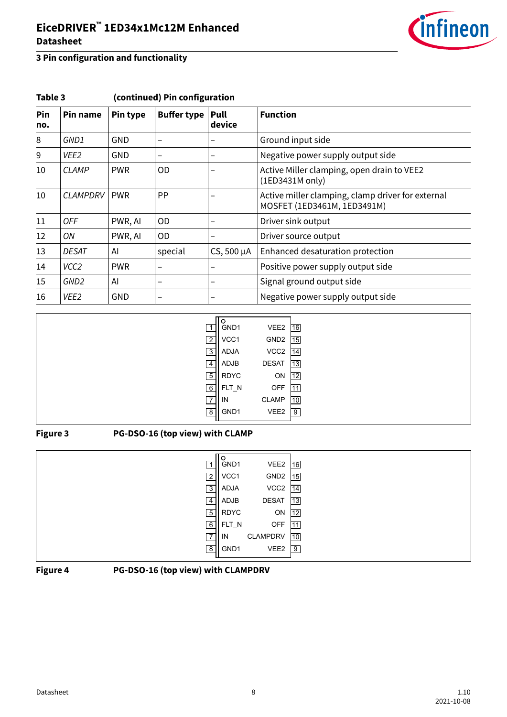

| Pin<br>no. | Pin name         | Pin type   | <b>Buffer type</b> | Pull<br>device | <b>Function</b>                                                                  |
|------------|------------------|------------|--------------------|----------------|----------------------------------------------------------------------------------|
| 8          | GND1             | <b>GND</b> |                    |                | Ground input side                                                                |
| 9          | VEE <sub>2</sub> | GND        |                    |                | Negative power supply output side                                                |
| 10         | <b>CLAMP</b>     | <b>PWR</b> | OD.                |                | Active Miller clamping, open drain to VEE2<br>(1ED3431M only)                    |
| 10         | <b>CLAMPDRV</b>  | <b>PWR</b> | <b>PP</b>          |                | Active miller clamping, clamp driver for external<br>MOSFET (1ED3461M, 1ED3491M) |
| 11         | <b>OFF</b>       | PWR, AI    | 0D                 |                | Driver sink output                                                               |
| 12         | ON               | PWR, AI    | OD.                | —              | Driver source output                                                             |
| 13         | <b>DESAT</b>     | Al         | special            | CS, 500 µA     | Enhanced desaturation protection                                                 |
| 14         | VCC <sub>2</sub> | <b>PWR</b> | -                  |                | Positive power supply output side                                                |
| 15         | GND <sub>2</sub> | AI         | —                  |                | Signal ground output side                                                        |
| 16         | VEE <sub>2</sub> | <b>GND</b> | -                  | -              | Negative power supply output side                                                |

### **Table 3 (continued) Pin configuration**

| GND1<br>$\overline{1}$ | VEE2                | 16              |
|------------------------|---------------------|-----------------|
| $\overline{2}$<br>VCC1 | GND2 15             |                 |
| $\overline{3}$<br>ADJA | $VCC2$ $\boxed{14}$ |                 |
| ADJB<br>4              | <b>DESAT</b>        | 13              |
| <b>RDYC</b><br>5       | ON                  | 12              |
| 6<br>$FLT_N$           | <b>OFF</b>          | 111             |
| $\overline{7}$<br>IN   | <b>CLAMP</b>        | $\overline{10}$ |
| $\overline{8}$<br>GND1 | VEE2                | $\overline{9}$  |

#### **Figure 3 PG-DSO-16 (top view) with CLAMP**

| $\blacktriangleleft$ | GND1        | VEE2             | 16              |
|----------------------|-------------|------------------|-----------------|
| $\overline{2}$       | VCC1        | GND <sub>2</sub> | 15              |
| $\overline{3}$       | ADJA        | VCC <sub>2</sub> | 14              |
| 4                    | ADJB        | <b>DESAT</b>     | 13              |
| $\overline{5}$       | <b>RDYC</b> | ON               | $\overline{12}$ |
| 6                    | FLT_N       | <b>OFF</b>       | 11              |
| IN<br>$\overline{7}$ |             | <b>CLAMPDRV</b>  | 10              |
| 8                    | GND1        | VEE2             | 9               |

#### **Figure 4 PG-DSO-16 (top view) with CLAMPDRV**

 $\overline{\phantom{a}}$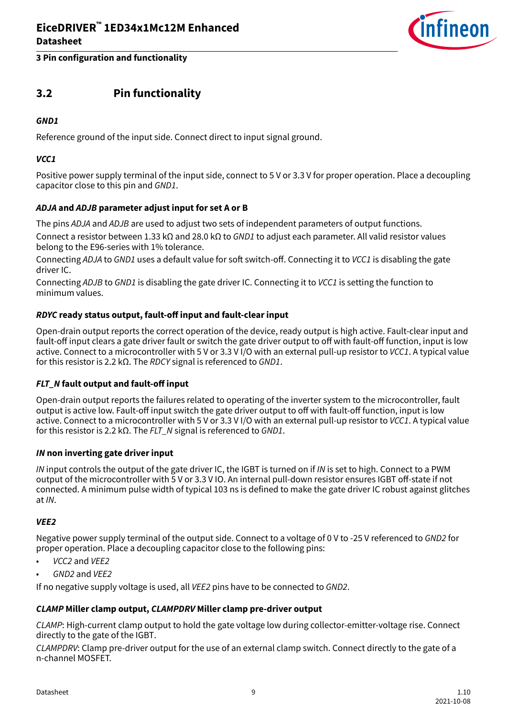

### <span id="page-8-0"></span>**3.2 Pin functionality**

#### **GND1**

Reference ground of the input side. Connect direct to input signal ground.

#### **VCC1**

Positive power supply terminal of the input side, connect to 5 V or 3.3 V for proper operation. Place a decoupling capacitor close to this pin and GND1.

#### **ADJA and ADJB parameter adjust input for set A or B**

The pins ADJA and ADJB are used to adjust two sets of independent parameters of output functions.

Connect a resistor between 1.33 kΩ and 28.0 kΩ to GND1 to adjust each parameter. All valid resistor values belong to the E96-series with 1% tolerance.

Connecting ADJA to GND1 uses a default value for soft switch-off. Connecting it to VCC1 is disabling the gate driver IC.

Connecting ADJB to GND1 is disabling the gate driver IC. Connecting it to VCC1 is setting the function to minimum values.

#### **RDYC ready status output, fault-off input and fault-clear input**

Open-drain output reports the correct operation of the device, ready output is high active. Fault-clear input and fault-off input clears a gate driver fault or switch the gate driver output to off with fault-off function, input is low active. Connect to a microcontroller with 5 V or 3.3 V I/O with an external pull-up resistor to VCC1. A typical value for this resistor is 2.2 kΩ. The RDCY signal is referenced to GND1.

#### **FLT\_N fault output and fault-off input**

Open-drain output reports the failures related to operating of the inverter system to the microcontroller, fault output is active low. Fault-off input switch the gate driver output to off with fault-off function, input is low active. Connect to a microcontroller with 5 V or 3.3 V I/O with an external pull-up resistor to VCC1. A typical value for this resistor is 2.2 kΩ. The FLT\_N signal is referenced to GND1.

#### **IN non inverting gate driver input**

IN input controls the output of the gate driver IC, the IGBT is turned on if IN is set to high. Connect to a PWM output of the microcontroller with 5 V or 3.3 V IO. An internal pull-down resistor ensures IGBT off-state if not connected. A minimum pulse width of typical 103 ns is defined to make the gate driver IC robust against glitches at IN.

#### **VEE2**

Negative power supply terminal of the output side. Connect to a voltage of 0 V to -25 V referenced to GND2 for proper operation. Place a decoupling capacitor close to the following pins:

- VCC2 and VEE2
- GND2 and VEE2

If no negative supply voltage is used, all VEE2 pins have to be connected to GND2.

#### **CLAMP Miller clamp output, CLAMPDRV Miller clamp pre-driver output**

CLAMP: High-current clamp output to hold the gate voltage low during collector-emitter-voltage rise. Connect directly to the gate of the IGBT.

CLAMPDRV: Clamp pre-driver output for the use of an external clamp switch. Connect directly to the gate of a n-channel MOSFET.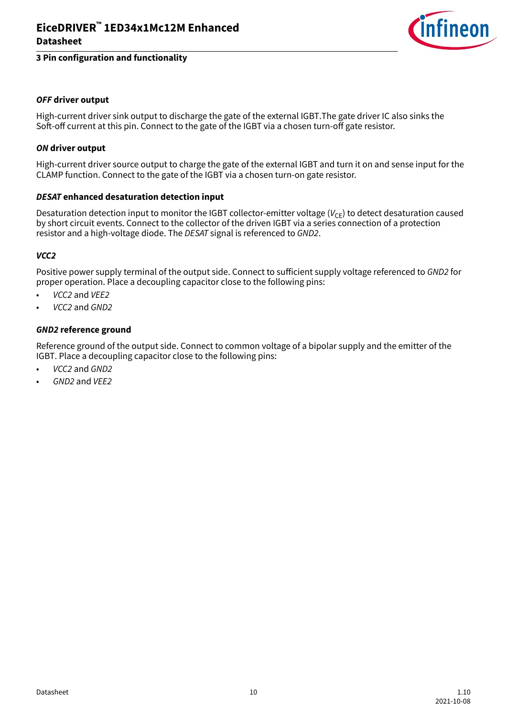

#### **OFF driver output**

High-current driver sink output to discharge the gate of the external IGBT.The gate driver IC also sinks the Soft-off current at this pin. Connect to the gate of the IGBT via a chosen turn-off gate resistor.

#### **ON driver output**

High-current driver source output to charge the gate of the external IGBT and turn it on and sense input for the CLAMP function. Connect to the gate of the IGBT via a chosen turn-on gate resistor.

#### **DESAT enhanced desaturation detection input**

Desaturation detection input to monitor the IGBT collector-emitter voltage  $(V_{CF})$  to detect desaturation caused by short circuit events. Connect to the collector of the driven IGBT via a series connection of a protection resistor and a high-voltage diode. The DESAT signal is referenced to GND2.

#### **VCC2**

Positive power supply terminal of the output side. Connect to sufficient supply voltage referenced to GND2 for proper operation. Place a decoupling capacitor close to the following pins:

- VCC2 and VEE2
- VCC2 and GND2

#### **GND2 reference ground**

Reference ground of the output side. Connect to common voltage of a bipolar supply and the emitter of the IGBT. Place a decoupling capacitor close to the following pins:

- VCC2 and GND2
- GND2 and VEE2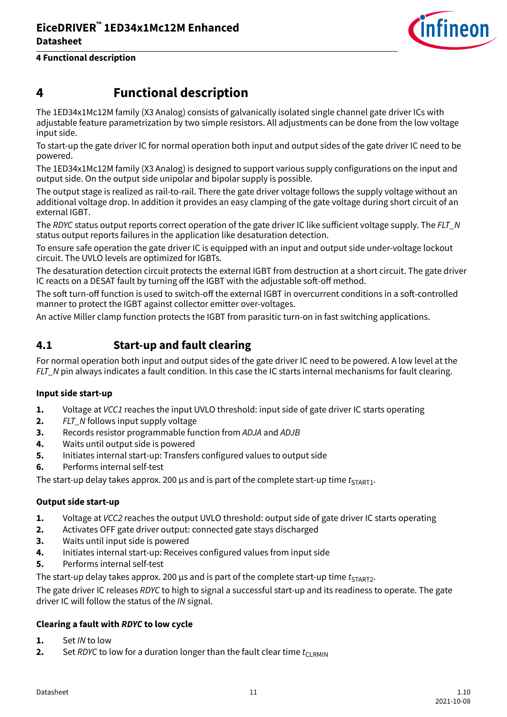

# <span id="page-10-0"></span>**4 Functional description**

The 1ED34x1Mc12M family (X3 Analog) consists of galvanically isolated single channel gate driver ICs with adjustable feature parametrization by two simple resistors. All adjustments can be done from the low voltage input side.

To start-up the gate driver IC for normal operation both input and output sides of the gate driver IC need to be powered.

The 1ED34x1Mc12M family (X3 Analog) is designed to support various supply configurations on the input and output side. On the output side unipolar and bipolar supply is possible.

The output stage is realized as rail-to-rail. There the gate driver voltage follows the supply voltage without an additional voltage drop. In addition it provides an easy clamping of the gate voltage during short circuit of an external IGBT.

The RDYC status output reports correct operation of the gate driver IC like sufficient voltage supply. The FLT\_N status output reports failures in the application like desaturation detection.

To ensure safe operation the gate driver IC is equipped with an input and output side under-voltage lockout circuit. The UVLO levels are optimized for IGBTs.

The desaturation detection circuit protects the external IGBT from destruction at a short circuit. The gate driver IC reacts on a DESAT fault by turning off the IGBT with the adjustable soft-off method.

The soft turn-off function is used to switch-off the external IGBT in overcurrent conditions in a soft-controlled manner to protect the IGBT against collector emitter over-voltages.

An active Miller clamp function protects the IGBT from parasitic turn-on in fast switching applications.

### **4.1 Start-up and fault clearing**

For normal operation both input and output sides of the gate driver IC need to be powered. A low level at the FLT\_N pin always indicates a fault condition. In this case the IC starts internal mechanisms for fault clearing.

#### **Input side start-up**

- **1.** Voltage at VCC1 reaches the input UVLO threshold: input side of gate driver IC starts operating
- **2.** FLT N follows input supply voltage
- **3.** Records resistor programmable function from ADJA and ADJB
- **4.** Waits until output side is powered
- **5.** Initiates internal start-up: Transfers configured values to output side
- **6.** Performs internal self-test

The start-up delay takes approx. 200 µs and is part of the complete start-up time  $t_{\text{STAPT1}}$ .

#### **Output side start-up**

- **1.** Voltage at VCC2 reaches the output UVLO threshold: output side of gate driver IC starts operating
- **2.** Activates OFF gate driver output: connected gate stays discharged
- **3.** Waits until input side is powered
- **4.** Initiates internal start-up: Receives configured values from input side
- **5.** Performs internal self-test

The start-up delay takes approx. 200 µs and is part of the complete start-up time  $t_{\text{START2}}$ .

The gate driver IC releases RDYC to high to signal a successful start-up and its readiness to operate. The gate driver IC will follow the status of the IN signal.

### **Clearing a fault with RDYC to low cycle**

- **1.** Set IN to low
- **2.** Set RDYC to low for a duration longer than the fault clear time  $t_{\text{CI RMIN}}$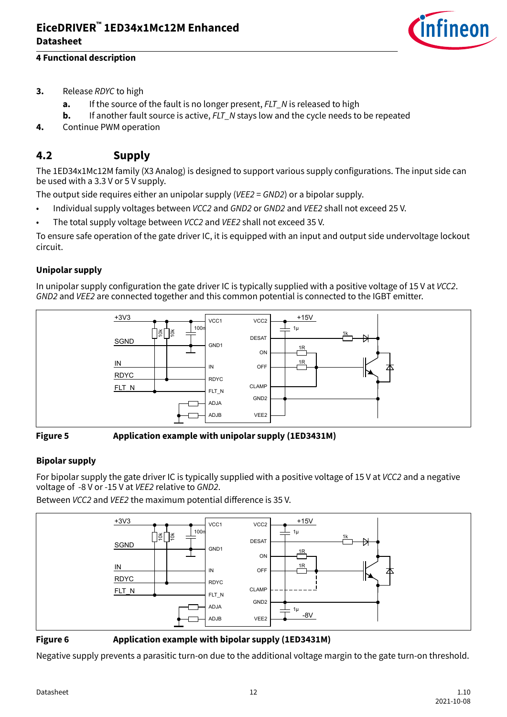

### <span id="page-11-0"></span>**4 Functional description**

- **3.** Release RDYC to high
	- **a.** If the source of the fault is no longer present, FLT\_N is released to high
	- **b.** If another fault source is active, FLT\_N stays low and the cycle needs to be repeated
- **4.** Continue PWM operation

### **4.2 Supply**

The 1ED34x1Mc12M family (X3 Analog) is designed to support various supply configurations. The input side can be used with a 3.3 V or 5 V supply.

The output side requires either an unipolar supply (VEE2 = GND2) or a bipolar supply.

- Individual supply voltages between *VCC2* and *GND2* or *GND2* and *VEE2* shall not exceed 25 V.
- The total supply voltage between VCC2 and VEE2 shall not exceed 35 V.

To ensure safe operation of the gate driver IC, it is equipped with an input and output side undervoltage lockout circuit.

### **Unipolar supply**

In unipolar supply configuration the gate driver IC is typically supplied with a positive voltage of 15 V at VCC2. GND2 and VEE2 are connected together and this common potential is connected to the IGBT emitter.



#### **Figure 5 Application example with unipolar supply (1ED3431M)**

#### **Bipolar supply**

For bipolar supply the gate driver IC is typically supplied with a positive voltage of 15 V at VCC2 and a negative voltage of -8 V or -15 V at VEE2 relative to GND2.

Between VCC2 and VEE2 the maximum potential difference is 35 V.



#### **Figure 6 Application example with bipolar supply (1ED3431M)**

Negative supply prevents a parasitic turn-on due to the additional voltage margin to the gate turn-on threshold.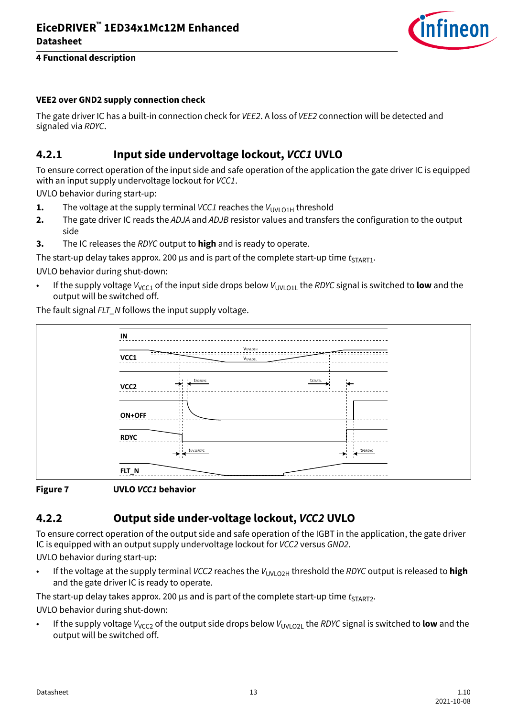

#### <span id="page-12-0"></span>**VEE2 over GND2 supply connection check**

The gate driver IC has a built-in connection check for VEE2. A loss of VEE2 connection will be detected and signaled via RDYC.

### **4.2.1 Input side undervoltage lockout, VCC1 UVLO**

To ensure correct operation of the input side and safe operation of the application the gate driver IC is equipped with an input supply undervoltage lockout for VCC1.

UVLO behavior during start-up:

- **1.** The voltage at the supply terminal *VCC1* reaches the  $V_{UVLO1H}$  threshold
- **2.** The gate driver IC reads the ADJA and ADJB resistor values and transfers the configuration to the output side
- **3.** The IC releases the RDYC output to **high** and is ready to operate.

The start-up delay takes approx. 200 us and is part of the complete start-up time  $t_{ST,OPT1}$ .

UVLO behavior during shut-down:

If the supply voltage  $V_{VCC1}$  of the input side drops below  $V_{UVIO11}$  the RDYC signal is switched to **low** and the output will be switched off.

The fault signal FLT N follows the input supply voltage.



#### **Figure 7 UVLO VCC1 behavior**

## **4.2.2 Output side under-voltage lockout, VCC2 UVLO**

To ensure correct operation of the output side and safe operation of the IGBT in the application, the gate driver IC is equipped with an output supply undervoltage lockout for VCC2 versus GND2.

UVLO behavior during start-up:

If the voltage at the supply terminal VCC2 reaches the V<sub>UVLO2H</sub> threshold the RDYC output is released to **high** and the gate driver IC is ready to operate.

The start-up delay takes approx. 200 µs and is part of the complete start-up time  $t_{\text{star}}$ ,

UVLO behavior during shut-down:

If the supply voltage  $V_{VCC2}$  of the output side drops below  $V_{UVIO21}$  the RDYC signal is switched to **low** and the output will be switched off.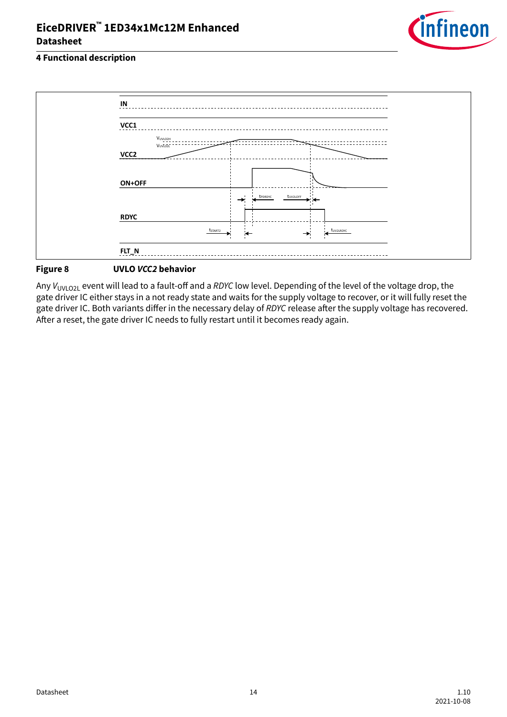

### **4 Functional description**



#### **Figure 8 UVLO VCC2 behavior**

Any V<sub>UVLO2L</sub> event will lead to a fault-off and a RDYC low level. Depending of the level of the voltage drop, the gate driver IC either stays in a not ready state and waits for the supply voltage to recover, or it will fully reset the gate driver IC. Both variants differ in the necessary delay of RDYC release after the supply voltage has recovered. After a reset, the gate driver IC needs to fully restart until it becomes ready again.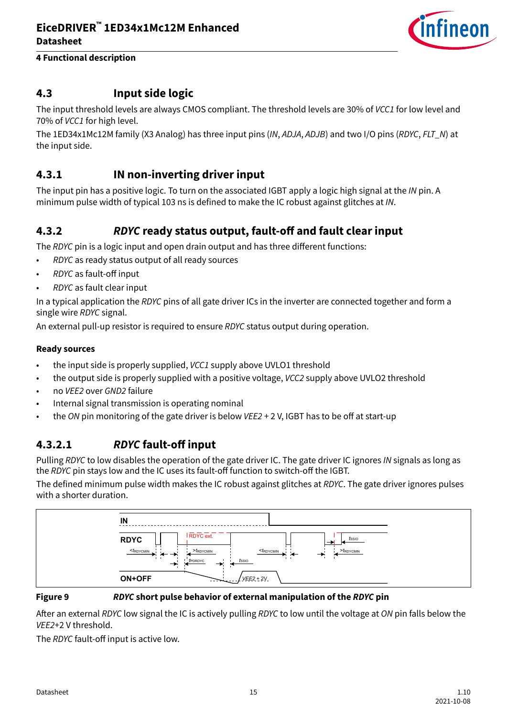

### <span id="page-14-0"></span>**4.3 Input side logic**

The input threshold levels are always CMOS compliant. The threshold levels are 30% of VCC1 for low level and 70% of VCC1 for high level.

The 1ED34x1Mc12M family (X3 Analog) has three input pins (IN, ADJA, ADJB) and two I/O pins (RDYC, FLT\_N) at the input side.

### **4.3.1 IN non-inverting driver input**

The input pin has a positive logic. To turn on the associated IGBT apply a logic high signal at the IN pin. A minimum pulse width of typical 103 ns is defined to make the IC robust against glitches at IN.

### **4.3.2 RDYC ready status output, fault-off and fault clear input**

The RDYC pin is a logic input and open drain output and has three different functions:

- RDYC as ready status output of all ready sources
- RDYC as fault-off input
- RDYC as fault clear input

In a typical application the RDYC pins of all gate driver ICs in the inverter are connected together and form a single wire RDYC signal.

An external pull-up resistor is required to ensure RDYC status output during operation.

#### **Ready sources**

- the input side is properly supplied, VCC1 supply above UVLO1 threshold
- the output side is properly supplied with a positive voltage, VCC2 supply above UVLO2 threshold
- no VEE2 over GND2 failure
- Internal signal transmission is operating nominal
- the ON pin monitoring of the gate driver is below VEE2 + 2 V, IGBT has to be off at start-up

### **4.3.2.1 RDYC fault-off input**

Pulling RDYC to low disables the operation of the gate driver IC. The gate driver IC ignores IN signals as long as the RDYC pin stays low and the IC uses its fault-off function to switch-off the IGBT.

The defined minimum pulse width makes the IC robust against glitches at RDYC. The gate driver ignores pulses with a shorter duration.



#### **Figure 9 RDYC short pulse behavior of external manipulation of the RDYC pin**

After an external RDYC low signal the IC is actively pulling RDYC to low until the voltage at ON pin falls below the VEE2+2 V threshold.

The RDYC fault-off input is active low.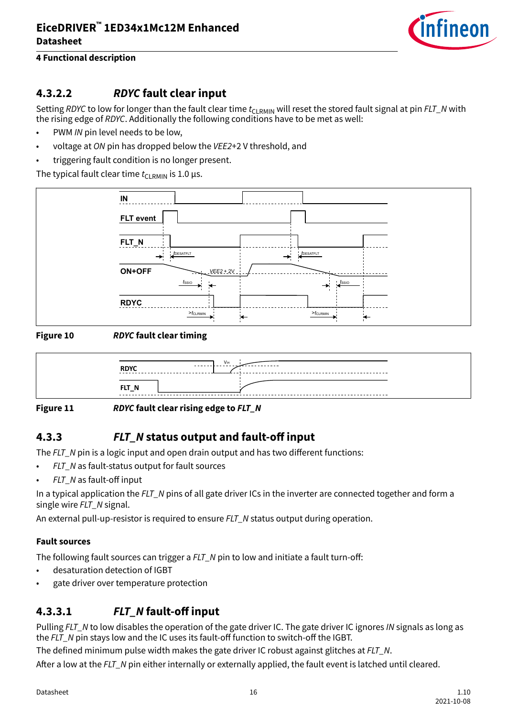

### <span id="page-15-0"></span>**4.3.2.2 RDYC fault clear input**

Setting RDYC to low for longer than the fault clear time  $t_{CIRMIN}$  will reset the stored fault signal at pin FLT\_N with the rising edge of RDYC. Additionally the following conditions have to be met as well:

- PWM IN pin level needs to be low.
- voltage at ON pin has dropped below the VEE2+2 V threshold, and
- triggering fault condition is no longer present.

The typical fault clear time  $t_{\text{CI~PMIN}}$  is 1.0 µs.



### **Figure 10 RDYC fault clear timing**



#### **Figure 11 RDYC fault clear rising edge to FLT\_N**

### **4.3.3 FLT\_N status output and fault-off input**

The  $FLT$  N pin is a logic input and open drain output and has two different functions:

- $FLT$  N as fault-status output for fault sources
- FLT\_N as fault-off input

In a typical application the FLT\_N pins of all gate driver ICs in the inverter are connected together and form a single wire FLT\_N signal.

An external pull-up-resistor is required to ensure FLT N status output during operation.

#### **Fault sources**

The following fault sources can trigger a FLT\_N pin to low and initiate a fault turn-off:

- desaturation detection of IGBT
- gate driver over temperature protection

### **4.3.3.1 FLT\_N fault-off input**

Pulling FLT\_N to low disables the operation of the gate driver IC. The gate driver IC ignores IN signals as long as the FLT\_N pin stays low and the IC uses its fault-off function to switch-off the IGBT.

The defined minimum pulse width makes the gate driver IC robust against glitches at  $FLT$  N.

After a low at the FLT\_N pin either internally or externally applied, the fault event is latched until cleared.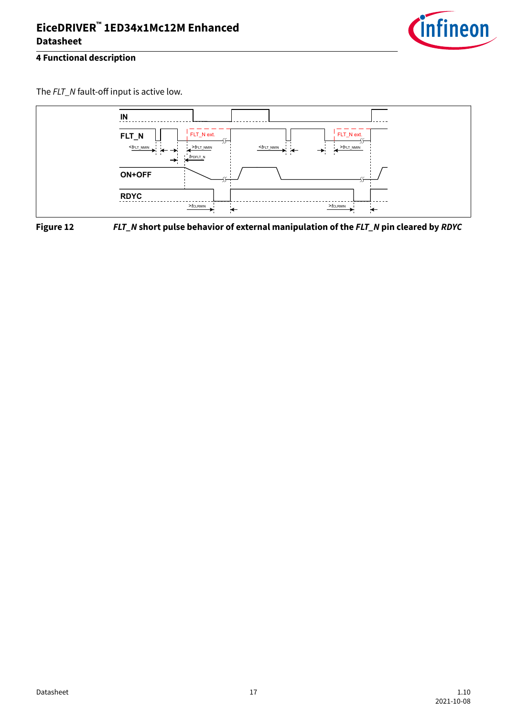

The FLT\_N fault-off input is active low.



**Figure 12 FLT\_N short pulse behavior of external manipulation of the FLT\_N pin cleared by RDYC**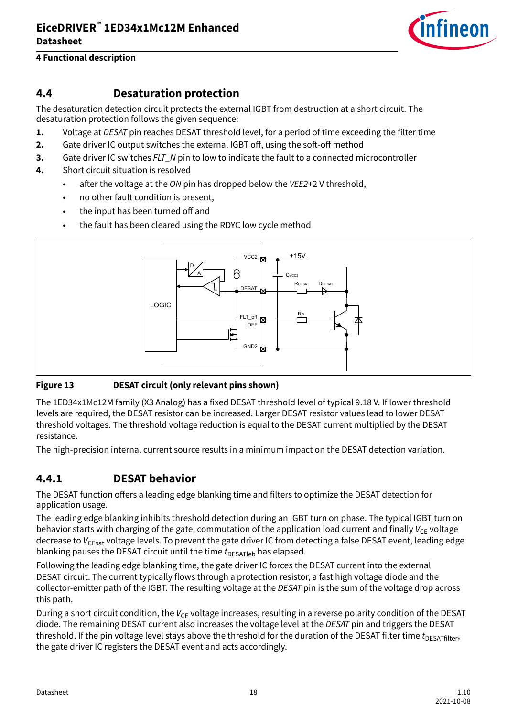

### <span id="page-17-0"></span>**4.4 Desaturation protection**

The desaturation detection circuit protects the external IGBT from destruction at a short circuit. The desaturation protection follows the given sequence:

- **1.** Voltage at DESAT pin reaches DESAT threshold level, for a period of time exceeding the filter time
- **2.** Gate driver IC output switches the external IGBT off, using the soft-off method
- **3.** Gate driver IC switches FLT\_N pin to low to indicate the fault to a connected microcontroller
- **4.** Short circuit situation is resolved
	- $\bullet$  after the voltage at the ON pin has dropped below the VEE2+2 V threshold,
	- no other fault condition is present,
	- the input has been turned off and
	- the fault has been cleared using the RDYC low cycle method



#### **Figure 13 DESAT circuit (only relevant pins shown)**

The 1ED34x1Mc12M family (X3 Analog) has a fixed DESAT threshold level of typical 9.18 V. If lower threshold levels are required, the DESAT resistor can be increased. Larger DESAT resistor values lead to lower DESAT threshold voltages. The threshold voltage reduction is equal to the DESAT current multiplied by the DESAT resistance.

The high-precision internal current source results in a minimum impact on the DESAT detection variation.

### **4.4.1 DESAT behavior**

The DESAT function offers a leading edge blanking time and filters to optimize the DESAT detection for application usage.

The leading edge blanking inhibits threshold detection during an IGBT turn on phase. The typical IGBT turn on behavior starts with charging of the gate, commutation of the application load current and finally  $V_{CF}$  voltage decrease to  $V_{CFsat}$  voltage levels. To prevent the gate driver IC from detecting a false DESAT event, leading edge blanking pauses the DESAT circuit until the time  $t_{\text{DESATleb}}$  has elapsed.

Following the leading edge blanking time, the gate driver IC forces the DESAT current into the external DESAT circuit. The current typically flows through a protection resistor, a fast high voltage diode and the collector-emitter path of the IGBT. The resulting voltage at the DESAT pin is the sum of the voltage drop across this path.

During a short circuit condition, the  $V_{CF}$  voltage increases, resulting in a reverse polarity condition of the DESAT diode. The remaining DESAT current also increases the voltage level at the DESAT pin and triggers the DESAT threshold. If the pin voltage level stays above the threshold for the duration of the DESAT filter time  $t_{DESATfilter}$ , the gate driver IC registers the DESAT event and acts accordingly.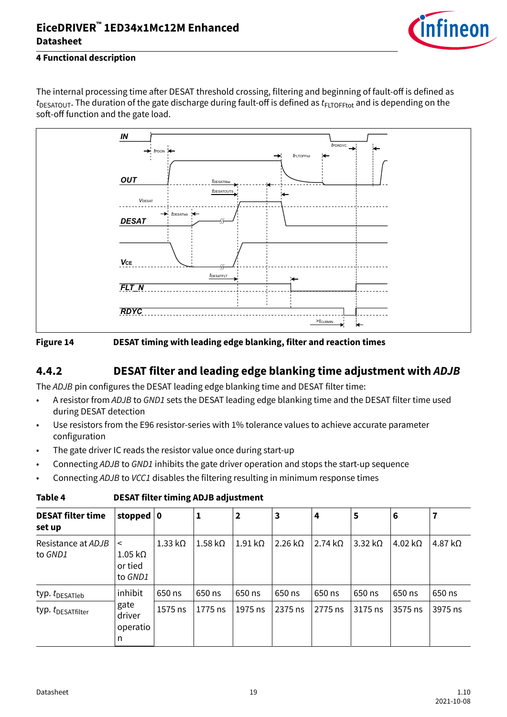

### <span id="page-18-0"></span>**4 Functional description**

The internal processing time after DESAT threshold crossing, filtering and beginning of fault-off is defined as  $t_{\text{DESATOUT}}$ . The duration of the gate discharge during fault-off is defined as  $t_{\text{FLOFFtot}}$  and is depending on the soft-off function and the gate load.





### **4.4.2 DESAT filter and leading edge blanking time adjustment with ADJB**

The ADJB pin configures the DESAT leading edge blanking time and DESAT filter time:

- A resistor from ADJB to GND1 sets the DESAT leading edge blanking time and the DESAT filter time used during DESAT detection
- Use resistors from the E96 resistor-series with 1% tolerance values to achieve accurate parameter configuration
- The gate driver IC reads the resistor value once during start-up
- Connecting ADJB to GND1 inhibits the gate driver operation and stops the start-up sequence
- Connecting ADJB to VCC1 disables the filtering resulting in minimum response times

| <b>DESAT filter time</b><br>set up | stopped                                                   | 0              | 1                      | $\mathbf{2}$           | 3                       | 4              | 5                          | 6                      | 7              |
|------------------------------------|-----------------------------------------------------------|----------------|------------------------|------------------------|-------------------------|----------------|----------------------------|------------------------|----------------|
| Resistance at ADJB<br>to GND1      | $\,<$<br>$1.05 \, \mathrm{k}\Omega$<br>or tied<br>to GND1 | $1.33 k\Omega$ | $1.58 \text{ k}\Omega$ | $1.91 \text{ k}\Omega$ | $2.26 \ \text{k}\Omega$ | $2.74 k\Omega$ | $3.32 \, \mathrm{k}\Omega$ | $4.02 \text{ k}\Omega$ | 4.87 $k\Omega$ |
| typ. $t_{\text{DESATleb}}$         | inhibit                                                   | 650 ns         | 650 ns                 | 650 ns                 | 650 ns                  | 650 ns         | 650 ns                     | 650 ns                 | 650 ns         |
| typ. t <sub>DESATfilter</sub>      | gate<br>driver<br>operatio<br>n                           | 1575 ns        | 1775 ns                | 1975 ns                | 2375 ns                 | 2775 ns        | 3175 ns                    | 3575 ns                | 3975 ns        |

**Table 4 DESAT filter timing ADJB adjustment**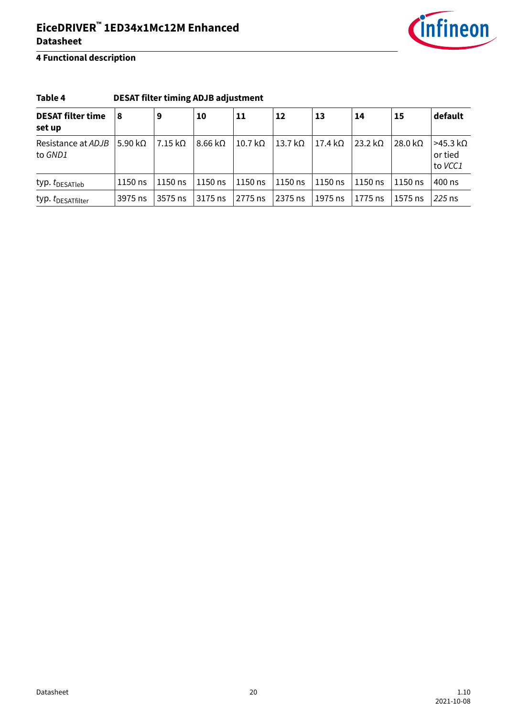

### **4 Functional description**

| Table 4                            | <b>DESAT filter timing ADJB adjustment</b> |                        |                              |                      |                 |                |                      |                       |                                                  |  |  |
|------------------------------------|--------------------------------------------|------------------------|------------------------------|----------------------|-----------------|----------------|----------------------|-----------------------|--------------------------------------------------|--|--|
| <b>DESAT filter time</b><br>set up | 8                                          | 9                      | 10<br>$8.66 \text{ k}\Omega$ | 11<br>10.7 $k\Omega$ | 12              | 13             | 14<br>23.2 $k\Omega$ | 15<br>28.0 k $\Omega$ | default<br>$>45.3 k\Omega$<br>or tied<br>to VCC1 |  |  |
| Resistance at ADJB<br>to GND1      | 5.90 k $\Omega$                            | $7.15 \text{ k}\Omega$ |                              |                      | 13.7 k $\Omega$ | $17.4 k\Omega$ |                      |                       |                                                  |  |  |
| typ. $t_{\text{DESATleb}}$         | 1150 ns                                    | $1150$ ns              | 1150 ns                      | 1150 ns              | 1150 ns         | 1150 ns        | $1150$ ns            | $1150$ ns             | 400 ns                                           |  |  |
| typ. t <sub>DESATfilter</sub>      | 3975 ns                                    | 3575 ns                | 3175 ns                      | 2775 ns              | 2375 ns         | 1975 ns        | 1775 ns              | $1575$ ns             | 225 ns                                           |  |  |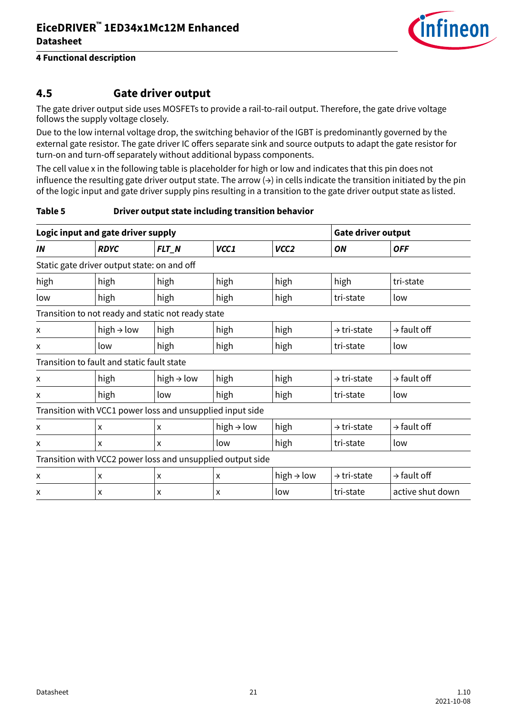

### <span id="page-20-0"></span>**4.5 Gate driver output**

The gate driver output side uses MOSFETs to provide a rail-to-rail output. Therefore, the gate drive voltage follows the supply voltage closely.

Due to the low internal voltage drop, the switching behavior of the IGBT is predominantly governed by the external gate resistor. The gate driver IC offers separate sink and source outputs to adapt the gate resistor for turn-on and turn-off separately without additional bypass components.

The cell value x in the following table is placeholder for high or low and indicates that this pin does not influence the resulting gate driver output state. The arrow  $\leftrightarrow$ ) in cells indicate the transition initiated by the pin of the logic input and gate driver supply pins resulting in a transition to the gate driver output state as listed.

#### **Table 5 Driver output state including transition behavior**

|                                                            | Logic input and gate driver supply                        |                        | <b>Gate driver output</b> |                        |                         |                         |  |  |  |  |  |
|------------------------------------------------------------|-----------------------------------------------------------|------------------------|---------------------------|------------------------|-------------------------|-------------------------|--|--|--|--|--|
| IN                                                         | <b>RDYC</b>                                               | FLT_N                  | VCC1                      | VCC <sub>2</sub>       | ON                      | <b>OFF</b>              |  |  |  |  |  |
| Static gate driver output state: on and off                |                                                           |                        |                           |                        |                         |                         |  |  |  |  |  |
| high                                                       | high                                                      | high                   | high                      | high                   | high                    | tri-state               |  |  |  |  |  |
| low                                                        | high                                                      | high                   | high                      | high                   | tri-state               | low                     |  |  |  |  |  |
|                                                            | Transition to not ready and static not ready state        |                        |                           |                        |                         |                         |  |  |  |  |  |
| x                                                          | high $\rightarrow$ low                                    | high                   | high                      | high                   | $\rightarrow$ tri-state | $\rightarrow$ fault off |  |  |  |  |  |
| X                                                          | low                                                       | high                   | high                      | high                   | tri-state               | low                     |  |  |  |  |  |
|                                                            | Transition to fault and static fault state                |                        |                           |                        |                         |                         |  |  |  |  |  |
| X                                                          | high                                                      | high $\rightarrow$ low | high                      | high                   | $\rightarrow$ tri-state | $\rightarrow$ fault off |  |  |  |  |  |
| X                                                          | high                                                      | low                    | high                      | high                   | tri-state               | low                     |  |  |  |  |  |
|                                                            | Transition with VCC1 power loss and unsupplied input side |                        |                           |                        |                         |                         |  |  |  |  |  |
| x                                                          | X                                                         | X                      | high $\rightarrow$ low    | high                   | $\rightarrow$ tri-state | $\rightarrow$ fault off |  |  |  |  |  |
| X                                                          | X                                                         | X                      | low                       | high                   | tri-state               | low                     |  |  |  |  |  |
| Transition with VCC2 power loss and unsupplied output side |                                                           |                        |                           |                        |                         |                         |  |  |  |  |  |
| x                                                          | X                                                         | X                      | X                         | high $\rightarrow$ low | $\rightarrow$ tri-state | $\rightarrow$ fault off |  |  |  |  |  |
| X                                                          | X                                                         | X                      | X                         | low                    | tri-state               | active shut down        |  |  |  |  |  |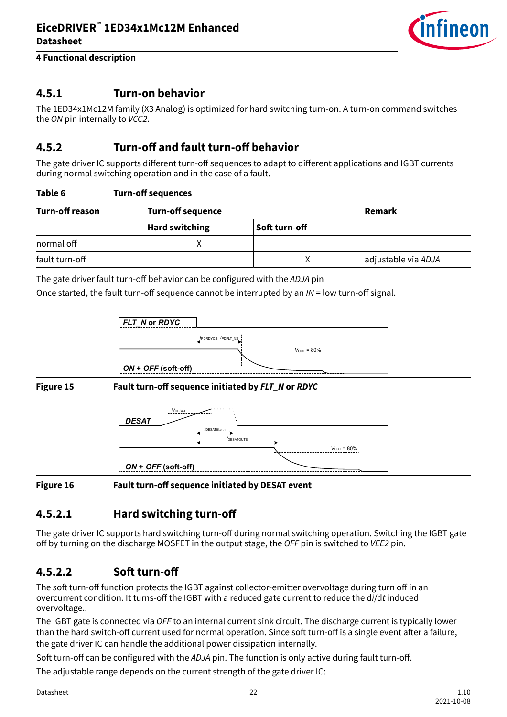

### <span id="page-21-0"></span>**4.5.1 Turn-on behavior**

The 1ED34x1Mc12M family (X3 Analog) is optimized for hard switching turn-on. A turn-on command switches the ON pin internally to VCC2.

### **4.5.2 Turn-off and fault turn-off behavior**

The gate driver IC supports different turn-off sequences to adapt to different applications and IGBT currents during normal switching operation and in the case of a fault.

| Turn-off reason | <b>Turn-off sequence</b> |               |                     |  |  |  |
|-----------------|--------------------------|---------------|---------------------|--|--|--|
|                 | <b>Hard switching</b>    | Soft turn-off |                     |  |  |  |
| normal off      |                          |               |                     |  |  |  |
| fault turn-off  |                          |               | adjustable via ADJA |  |  |  |

The gate driver fault turn-off behavior can be configured with the ADJA pin

Once started, the fault turn-off sequence cannot be interrupted by an  $IN =$  low turn-off signal.





**Figure 15 Fault turn-off sequence initiated by FLT\_N or RDYC**



**Figure 16 Fault turn-off sequence initiated by DESAT event**

## **4.5.2.1 Hard switching turn-off**

The gate driver IC supports hard switching turn-off during normal switching operation. Switching the IGBT gate off by turning on the discharge MOSFET in the output stage, the OFF pin is switched to VEE2 pin.

## **4.5.2.2 Soft turn-off**

The soft turn-off function protects the IGBT against collector-emitter overvoltage during turn off in an overcurrent condition. It turns-off the IGBT with a reduced gate current to reduce the di/dt induced overvoltage..

The IGBT gate is connected via OFF to an internal current sink circuit. The discharge current is typically lower than the hard switch-off current used for normal operation. Since soft turn-off is a single event after a failure, the gate driver IC can handle the additional power dissipation internally.

Soft turn-off can be configured with the ADJA pin. The function is only active during fault turn-off. The adjustable range depends on the current strength of the gate driver IC: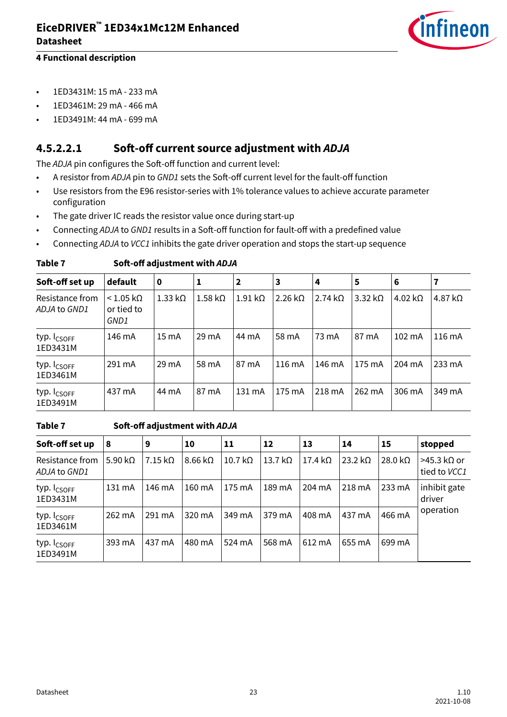

- <span id="page-22-0"></span>• 1ED3431M: 15 mA - 233 mA
- 1ED3461M: 29 mA 466 mA
- 1ED3491M: 44 mA 699 mA

### **4.5.2.2.1 Soft-off current source adjustment with ADJA**

The ADJA pin configures the Soft-off function and current level:

- A resistor from ADJA pin to GND1 sets the Soft-off current level for the fault-off function
- Use resistors from the E96 resistor-series with 1% tolerance values to achieve accurate parameter configuration
- The gate driver IC reads the resistor value once during start-up
- Connecting ADJA to GND1 results in a Soft-off function for fault-off with a predefined value
- Connecting ADJA to VCC1 inhibits the gate driver operation and stops the start-up sequence

| Soft-off set up                     | default                                        | 0               |                        | $\overline{\mathbf{2}}$ | 3                | 4              | 5                | 6                      |                        |
|-------------------------------------|------------------------------------------------|-----------------|------------------------|-------------------------|------------------|----------------|------------------|------------------------|------------------------|
| Resistance from<br>ADJA to GND1     | $< 1.05 \text{ k}\Omega$<br>or tied to<br>GND1 | $1.33 k\Omega$  | $1.58 \text{ k}\Omega$ | $1.91 \text{ k}\Omega$  | 2.26 k $\Omega$  | 2.74 $k\Omega$ | $3.32 k\Omega$   | $4.02 \text{ k}\Omega$ | $4.87 \text{ k}\Omega$ |
| typ. I <sub>CSOFF</sub><br>1ED3431M | 146 mA                                         | $15 \text{ mA}$ | $29 \text{ mA}$        | 44 mA                   | 58 mA            | 73 mA          | 87 mA            | $102 \text{ mA}$       | $116 \text{ mA}$       |
| typ. I <sub>CSOFF</sub><br>1ED3461M | 291 mA                                         | $29 \text{ mA}$ | 58 mA                  | 87 mA                   | $116 \text{ mA}$ | 146 mA         | $175 \text{ mA}$ | 204 mA                 | $233 \text{ mA}$       |
| typ. I <sub>CSOFF</sub><br>1ED3491M | 437 mA                                         | 44 mA           | 87 mA                  | $131 \text{ mA}$        | 175 mA           | 218 mA         | 262 mA           | 306 mA                 | 349 mA                 |

#### **Table 7 Soft-off adjustment with ADJA**

#### **Table 7 Soft-off adjustment with ADJA**

| Soft-off set up                     | 8               | 9                      | 10                     | 11                     | 12             | 13             | 14             | 15              | stopped                       |
|-------------------------------------|-----------------|------------------------|------------------------|------------------------|----------------|----------------|----------------|-----------------|-------------------------------|
| Resistance from<br>ADJA to GND1     | 5.90 k $\Omega$ | $7.15 \text{ k}\Omega$ | $8.66 \text{ k}\Omega$ | $10.7 \text{ k}\Omega$ | 13.7 $k\Omega$ | 17.4 $k\Omega$ | $23.2 k\Omega$ | 28.0 k $\Omega$ | $>45.3$ kΩ or<br>tied to VCC1 |
| typ. I <sub>CSOFF</sub><br>1ED3431M | 131 mA          | 146 mA                 | 160 mA                 | 175 mA                 | 189 mA         | 204 mA         | 218 mA         | 233 mA          | inhibit gate<br>driver        |
| typ. I <sub>CSOFF</sub><br>1ED3461M | 262 mA          | 291 mA                 | 320 mA                 | 349 mA                 | 379 mA         | 408 mA         | 437 mA         | 466 mA          | operation                     |
| typ. I <sub>CSOFF</sub><br>1ED3491M | 393 mA          | 437 mA                 | 480 mA                 | 524 mA                 | 568 mA         | 612 mA         | 655 mA         | 699 mA          |                               |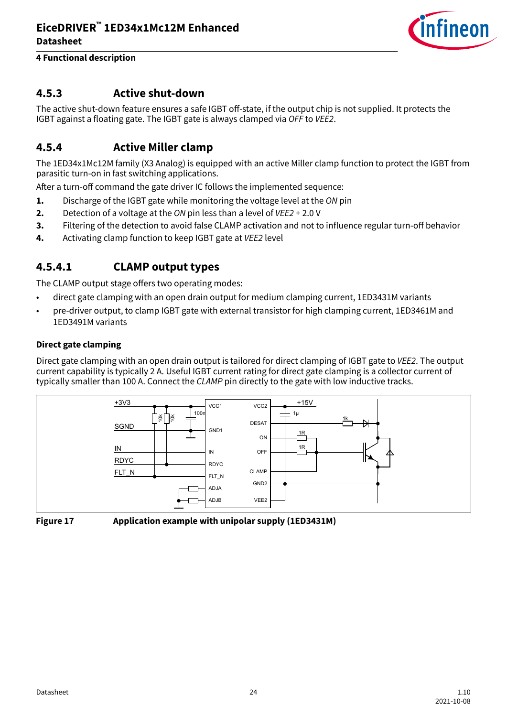

### <span id="page-23-0"></span>**4 Functional description**

### **4.5.3 Active shut-down**

The active shut-down feature ensures a safe IGBT off-state, if the output chip is not supplied. It protects the IGBT against a floating gate. The IGBT gate is always clamped via OFF to VEE2.

### **4.5.4 Active Miller clamp**

The 1ED34x1Mc12M family (X3 Analog) is equipped with an active Miller clamp function to protect the IGBT from parasitic turn-on in fast switching applications.

After a turn-off command the gate driver IC follows the implemented sequence:

- **1.** Discharge of the IGBT gate while monitoring the voltage level at the ON pin
- **2.** Detection of a voltage at the ON pin less than a level of VEE2 + 2.0 V
- **3.** Filtering of the detection to avoid false CLAMP activation and not to influence regular turn-off behavior
- **4.** Activating clamp function to keep IGBT gate at *VEE2* level

### **4.5.4.1 CLAMP output types**

The CLAMP output stage offers two operating modes:

- direct gate clamping with an open drain output for medium clamping current, 1ED3431M variants
- pre-driver output, to clamp IGBT gate with external transistor for high clamping current, 1ED3461M and 1ED3491M variants

#### **Direct gate clamping**

Direct gate clamping with an open drain output is tailored for direct clamping of IGBT gate to VEE2. The output current capability is typically 2 A. Useful IGBT current rating for direct gate clamping is a collector current of typically smaller than 100 A. Connect the CLAMP pin directly to the gate with low inductive tracks.





**Figure 17 Application example with unipolar supply (1ED3431M)**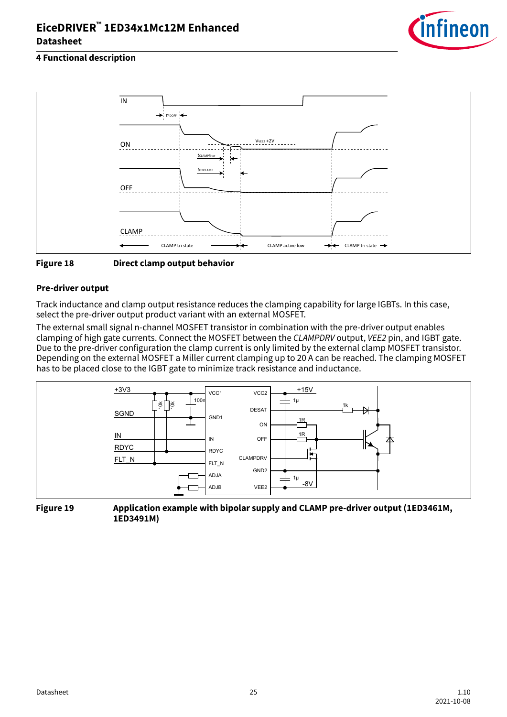

### **4 Functional description**





#### **Pre-driver output**

Track inductance and clamp output resistance reduces the clamping capability for large IGBTs. In this case, select the pre-driver output product variant with an external MOSFET.

The external small signal n-channel MOSFET transistor in combination with the pre-driver output enables clamping of high gate currents. Connect the MOSFET between the CLAMPDRV output, VEE2 pin, and IGBT gate. Due to the pre-driver configuration the clamp current is only limited by the external clamp MOSFET transistor. Depending on the external MOSFET a Miller current clamping up to 20 A can be reached. The clamping MOSFET has to be placed close to the IGBT gate to minimize track resistance and inductance.



**Figure 19 Application example with bipolar supply and CLAMP pre-driver output (1ED3461M, 1ED3491M)**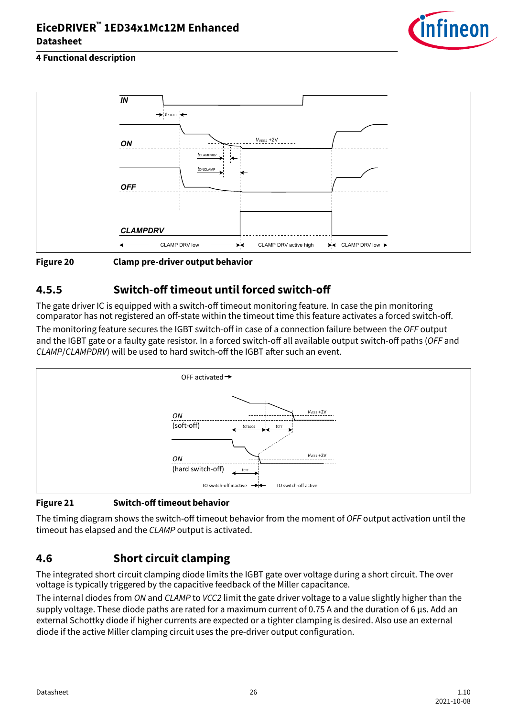

### <span id="page-25-0"></span>**4 Functional description**





### **4.5.5 Switch-off timeout until forced switch-off**

The gate driver IC is equipped with a switch-off timeout monitoring feature. In case the pin monitoring comparator has not registered an off-state within the timeout time this feature activates a forced switch-off.

The monitoring feature secures the IGBT switch-off in case of a connection failure between the OFF output and the IGBT gate or a faulty gate resistor. In a forced switch-off all available output switch-off paths (OFF and CLAMP/CLAMPDRV) will be used to hard switch-off the IGBT after such an event.



### **Figure 21 Switch-off timeout behavior**

The timing diagram shows the switch-off timeout behavior from the moment of OFF output activation until the timeout has elapsed and the CLAMP output is activated.

### **4.6 Short circuit clamping**

The integrated short circuit clamping diode limits the IGBT gate over voltage during a short circuit. The over voltage is typically triggered by the capacitive feedback of the Miller capacitance.

The internal diodes from ON and CLAMP to VCC2 limit the gate driver voltage to a value slightly higher than the supply voltage. These diode paths are rated for a maximum current of 0.75 A and the duration of 6 µs. Add an external Schottky diode if higher currents are expected or a tighter clamping is desired. Also use an external diode if the active Miller clamping circuit uses the pre-driver output configuration.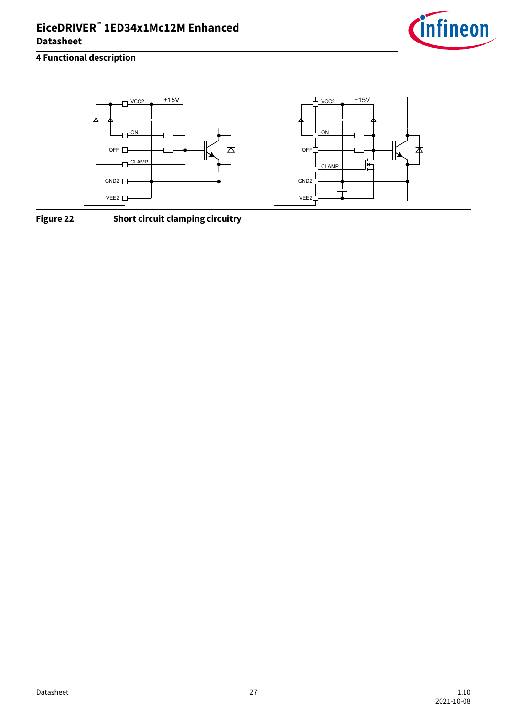

### **4 Functional description**



**Figure 22 Short circuit clamping circuitry**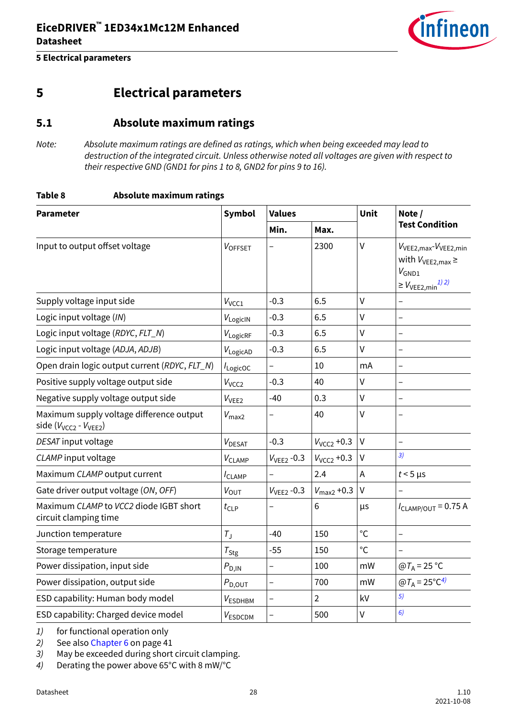

# <span id="page-27-0"></span>**5 Electrical parameters**

### **5.1 Absolute maximum ratings**

Note: Absolute maximum ratings are defined as ratings, which when being exceeded may lead to destruction of the integrated circuit. Unless otherwise noted all voltages are given with respect to their respective GND (GND1 for pins 1 to 8, GND2 for pins 9 to 16).

#### **Table 8 Absolute maximum ratings**

| <b>Parameter</b>                                                                          | <b>Symbol</b>        | <b>Values</b>            |                        | Unit         | Note /                                                                                                                      |  |
|-------------------------------------------------------------------------------------------|----------------------|--------------------------|------------------------|--------------|-----------------------------------------------------------------------------------------------------------------------------|--|
|                                                                                           |                      | Min.                     | Max.                   |              | <b>Test Condition</b>                                                                                                       |  |
| Input to output offset voltage                                                            | VOFFSET              |                          | 2300                   | $\vee$       | V <sub>VEE2, max</sub> -V <sub>VEE2, min</sub><br>with $V_{VEE2,max} \ge$<br>$V_{GND1}$<br>$\geq V_{\text{VEE2,min}}^{1/2}$ |  |
| Supply voltage input side                                                                 | $V_{VCC1}$           | $-0.3$                   | 6.5                    | $\vee$       |                                                                                                                             |  |
| Logic input voltage (IN)                                                                  | $V_{LogicIN}$        | $-0.3$                   | 6.5                    | $\vee$       |                                                                                                                             |  |
| Logic input voltage (RDYC, FLT_N)                                                         | $V_{\text{LogiCRF}}$ | $-0.3$                   | 6.5                    | $\vee$       |                                                                                                                             |  |
| Logic input voltage (ADJA, ADJB)                                                          | $V_{LogicAD}$        | $-0.3$                   | 6.5                    | $\mathsf{V}$ | $\overline{\phantom{0}}$                                                                                                    |  |
| Open drain logic output current (RDYC, FLT_N)                                             | I <sub>LogicOC</sub> |                          | 10                     | mA           | $\overline{\phantom{0}}$                                                                                                    |  |
| Positive supply voltage output side                                                       | V <sub>VCC2</sub>    | $-0.3$                   | 40                     | $\mathsf{V}$ |                                                                                                                             |  |
| Negative supply voltage output side                                                       | $V_{VEE2}$           | $-40$                    | 0.3                    | $\vee$       |                                                                                                                             |  |
| Maximum supply voltage difference output<br>side (V <sub>VCC2</sub> - V <sub>VEE2</sub> ) | $V_{\text{max2}}$    |                          | 40                     | $\vee$       |                                                                                                                             |  |
| DESAT input voltage                                                                       | $V_{\text{DESAT}}$   | $-0.3$                   | $V_{VCC2}$ +0.3        | V            | $\overline{\phantom{0}}$                                                                                                    |  |
| CLAMP input voltage                                                                       | $V_{CLAMP}$          | $VVEE2 -0.3$             | $V_{VCC2}$ +0.3        | V            | 3)                                                                                                                          |  |
| Maximum CLAMP output current                                                              | $I_{CLAMP}$          |                          | 2.4                    | A            | $t < 5$ µs                                                                                                                  |  |
| Gate driver output voltage (ON, OFF)                                                      | $V_{\text{OUT}}$     | $V_{VEE2}$ -0.3          | $V_{\text{max2}}$ +0.3 | V            |                                                                                                                             |  |
| Maximum CLAMP to VCC2 diode IGBT short<br>circuit clamping time                           | $t_{\text{CLP}}$     | $\overline{\phantom{0}}$ | 6                      | μs           | $I_{CLAMP/OUT} = 0.75 A$                                                                                                    |  |
| Junction temperature                                                                      | $T_{\rm J}$          | $-40$                    | 150                    | $\circ$ C    |                                                                                                                             |  |
| Storage temperature                                                                       | $T_{\text{Stg}}$     | $-55$                    | 150                    | $\circ$ C    |                                                                                                                             |  |
| Power dissipation, input side                                                             | $P_{\text{D,IN}}$    |                          | 100                    | mW           | $@T_A = 25 °C$                                                                                                              |  |
| Power dissipation, output side                                                            | $P_{\text{D,OUT}}$   |                          | 700                    | mW           | $\omega T_A = 25^{\circ}C^{4}$                                                                                              |  |
| ESD capability: Human body model                                                          | $V_{ESDHBM}$         |                          | $\overline{2}$         | kV           | 5)                                                                                                                          |  |
| ESD capability: Charged device model                                                      | VESDCDM              | -                        | 500                    | $\mathsf{V}$ | 6)                                                                                                                          |  |

1) for functional operation only

2) See also [Chapter 6](#page-40-0) on page 41

3) May be exceeded during short circuit clamping.

4) Derating the power above 65°C with 8 mW/°C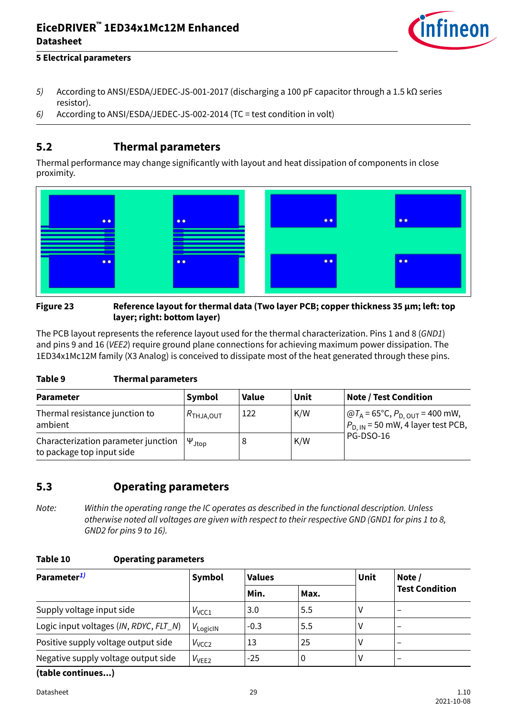

#### <span id="page-28-0"></span>**5 Electrical parameters**

- 5) According to ANSI/ESDA/JEDEC-JS-001-2017 (discharging a 100 pF capacitor through a 1.5 kΩ series resistor).
- 6) According to ANSI/ESDA/JEDEC-JS-002-2014 (TC = test condition in volt)

### **5.2 Thermal parameters**

Thermal performance may change significantly with layout and heat dissipation of components in close proximity.



#### **Figure 23 Reference layout for thermal data (Two layer PCB; copper thickness 35 μm; left: top layer; right: bottom layer)**

The PCB layout represents the reference layout used for the thermal characterization. Pins 1 and 8 (GND1) and pins 9 and 16 (VEE2) require ground plane connections for achieving maximum power dissipation. The 1ED34x1Mc12M family (X3 Analog) is conceived to dissipate most of the heat generated through these pins.

#### **Table 9 Thermal parameters**

| <b>Parameter</b>                                                 | Symbol                 | <b>Value</b> | Unit | <b>Note / Test Condition</b>                                                                                |
|------------------------------------------------------------------|------------------------|--------------|------|-------------------------------------------------------------------------------------------------------------|
| Thermal resistance junction to<br>ambient                        | $R$ thja,out           | 122          | K/W  | $ $ @T <sub>A</sub> = 65°C, P <sub>D, OUT</sub> = 400 mW,<br>$ P_{\text{D. IN}}$ = 50 mW, 4 layer test PCB, |
| Characterization parameter junction<br>to package top input side | $\Psi_{\mathsf{Jtop}}$ |              | K/W  | <b>PG-DSO-16</b>                                                                                            |

### **5.3 Operating parameters**

Note: Within the operating range the IC operates as described in the functional description. Unless otherwise noted all voltages are given with respect to their respective GND (GND1 for pins 1 to 8, GND2 for pins 9 to 16).

#### **Table 10 Operating parameters**

| Parameter <sup>1)</sup>                | Symbol        | <b>Values</b> |      | Unit | Note /<br><b>Test Condition</b> |  |
|----------------------------------------|---------------|---------------|------|------|---------------------------------|--|
|                                        |               | Min.          | Max. |      |                                 |  |
| Supply voltage input side              | $V_{VCC1}$    | 3.0           | 5.5  | ٧    | $\overline{\phantom{m}}$        |  |
| Logic input voltages (IN, RDYC, FLT_N) | $V_{LogicIN}$ | $-0.3$        | 5.5  | ٧    | $\overline{\phantom{m}}$        |  |
| Positive supply voltage output side    | $V_{VCC2}$    | 13            | 25   | v    | $\qquad \qquad$                 |  |
| Negative supply voltage output side    | $V_{VEE2}$    | $-25$         | 0    | ٧    | $\overline{\phantom{a}}$        |  |

**(table continues...)**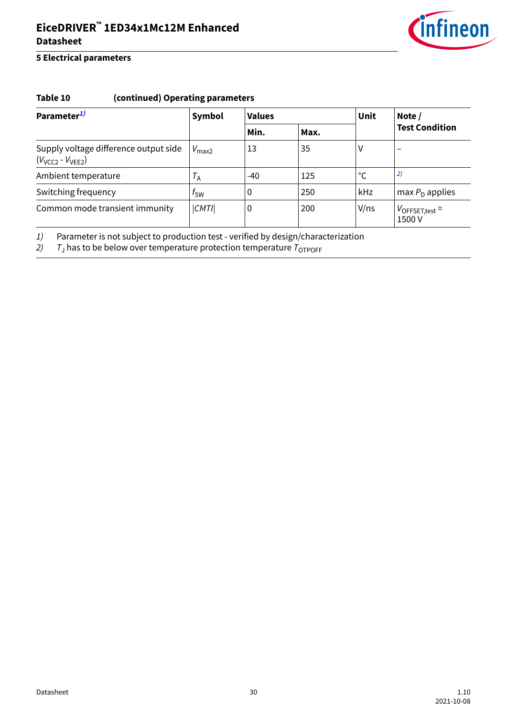

### <span id="page-29-0"></span>**5 Electrical parameters**

### **Table 10 (continued) Operating parameters**

| Parameter <sup>1)</sup>                                          | Symbol                  | <b>Values</b> |      | Unit         | Note /<br><b>Test Condition</b>      |  |
|------------------------------------------------------------------|-------------------------|---------------|------|--------------|--------------------------------------|--|
|                                                                  |                         | Min.          | Max. |              |                                      |  |
| Supply voltage difference output side<br>$(V_{VCC2} - V_{VEE2})$ | $V_{\text{max2}}$       | 13            | 35   | ٧            | $\overline{\phantom{0}}$             |  |
| Ambient temperature                                              | $\tau_{\text{\tiny A}}$ | $-40$         | 125  | $^{\circ}$ C | 2)                                   |  |
| Switching frequency                                              | t <sub>sw</sub>         | 0             | 250  | kHz          | max $PD$ applies                     |  |
| Common mode transient immunity                                   | CMTI                    | 0             | 200  | V/ns         | $V_{\text{OFFSET,test}} =$<br>1500 V |  |

1) Parameter is not subject to production test - verified by design/characterization<br>2) T<sub>1</sub> has to be below over temperature protection temperature  $T_{\text{OTPOFF}}$ 

2) T<sup>J</sup> has to be below over temperature protection temperature TOTPOFF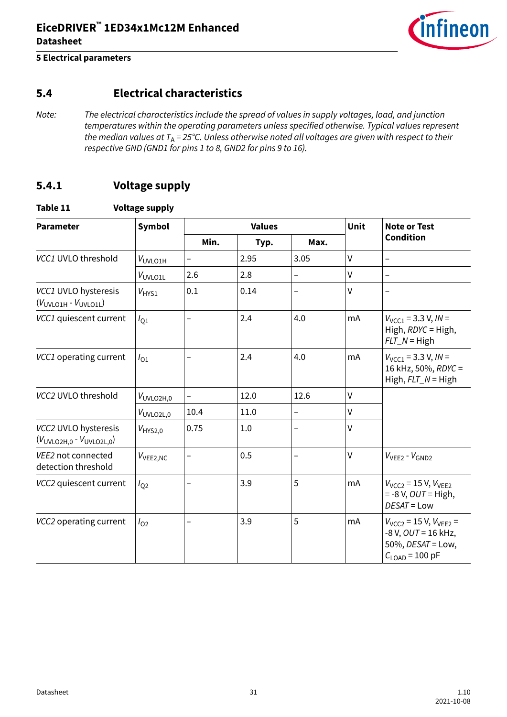

### <span id="page-30-0"></span>**5.4 Electrical characteristics**

Note: The electrical characteristics include the spread of values in supply voltages, load, and junction temperatures within the operating parameters unless specified otherwise. Typical values represent the median values at  $T_A = 25^{\circ}$ C. Unless otherwise noted all voltages are given with respect to their respective GND (GND1 for pins 1 to 8, GND2 for pins 9 to 16).

### **5.4.1 Voltage supply**

#### **Table 11 Voltage supply**

| <b>Parameter</b>                                        | Symbol                |                          | <b>Values</b> | Unit                     | <b>Note or Test</b> |                                                                                                                |
|---------------------------------------------------------|-----------------------|--------------------------|---------------|--------------------------|---------------------|----------------------------------------------------------------------------------------------------------------|
|                                                         |                       | Min.                     | Typ.          | Max.                     |                     | <b>Condition</b>                                                                                               |
| VCC1 UVLO threshold                                     | V <sub>UVLO1H</sub>   | $\overline{\phantom{0}}$ | 2.95          | 3.05                     | V                   | $\qquad \qquad -$                                                                                              |
|                                                         | $V_{UVLO1L}$          | 2.6                      | 2.8           | $\qquad \qquad -$        | $\mathsf{V}$        | $\qquad \qquad -$                                                                                              |
| VCC1 UVLO hysteresis<br>$(VUVLO1H - VUVLO1L)$           | $V_{HYS1}$            | 0.1                      | 0.14          | $\qquad \qquad -$        | $\mathsf{V}$        |                                                                                                                |
| VCC1 quiescent current                                  | $I_{01}$              |                          | 2.4           | 4.0                      | mA                  | $V_{VCC1}$ = 3.3 V, IN =<br>High, $RDYC = High$ ,<br>$FLT_N = High$                                            |
| VCC1 operating current                                  | $I_{01}$              |                          | 2.4           | 4.0                      | mA                  | $V_{VCC1}$ = 3.3 V, IN =<br>16 kHz, 50%, RDYC =<br>High, $FLT_N = High$                                        |
| VCC2 UVLO threshold                                     | V <sub>UVLO2H,0</sub> | $\overline{\phantom{0}}$ | 12.0          | 12.6                     | V                   |                                                                                                                |
|                                                         | $V_{UVLO2L,0}$        | 10.4                     | 11.0          | $\qquad \qquad -$        | V                   |                                                                                                                |
| VCC2 UVLO hysteresis<br>$(V_{UVLO2H,0} - V_{UVLO2L,0})$ | $V_{HYS2,0}$          | 0.75                     | 1.0           | $\overline{\phantom{0}}$ | $\vee$              |                                                                                                                |
| VEE2 not connected<br>detection threshold               | $V_{VEE2,NC}$         | —                        | 0.5           |                          | $\mathsf{V}$        | $VVEE2 - VGND2$                                                                                                |
| VCC2 quiescent current                                  | $I_{Q2}$              |                          | 3.9           | 5                        | mA                  | $V_{VCC2}$ = 15 V, $V_{VEE2}$<br>$= -8 V$ , $OUT = High$ ,<br>DESAT = Low                                      |
| VCC2 operating current                                  | $I_{O2}$              |                          | 3.9           | 5                        | mA                  | $V_{VCC2}$ = 15 V, $V_{VFF2}$ =<br>$-8$ V, OUT = 16 kHz,<br>50%, $DESAT = Low$ ,<br>$C_{\text{LOAD}}$ = 100 pF |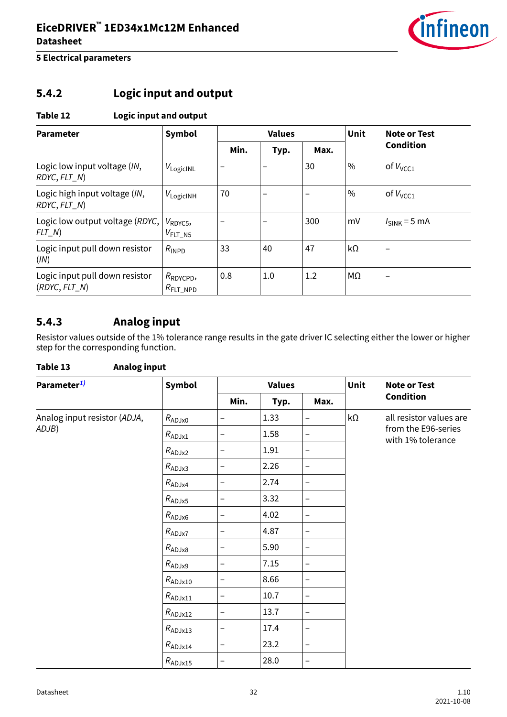

## <span id="page-31-0"></span>**5.4.2 Logic input and output**

### **Table 12 Logic input and output**

| <b>Parameter</b>                                  | Symbol                                       |      | <b>Values</b> |      | Unit          | <b>Note or Test</b>      |
|---------------------------------------------------|----------------------------------------------|------|---------------|------|---------------|--------------------------|
|                                                   |                                              | Min. | Typ.          | Max. |               | <b>Condition</b>         |
| Logic low input voltage (IN,<br>RDYC, FLT_N)      | $V_{\text{LogicINL}}$                        |      |               | 30   | $\frac{0}{0}$ | of $V_{VCC1}$            |
| Logic high input voltage (IN,<br>RDYC, FLT_N)     | $V_{LogicINH}$                               | 70   |               |      | $\%$          | of $V_{VCC1}$            |
| Logic low output voltage (RDYC,<br>$FLT_N$        | $V_{\text{RDVC5}}$<br>$V_{FLT N5}$           |      |               | 300  | mV            | $I_{SINK}$ = 5 mA        |
| Logic input pull down resistor<br>(IN)            | $R_{\text{INPD}}$                            | 33   | 40            | 47   | kΩ            | $\overline{\phantom{0}}$ |
| Logic input pull down resistor<br>$(RDYC, FLT$ N) | $R_{\text{RDYCPD}}$<br>$R_{\text{FIT\_NPD}}$ | 0.8  | 1.0           | 1.2  | MΩ            | $\overline{\phantom{0}}$ |

### **5.4.3 Analog input**

Resistor values outside of the 1% tolerance range results in the gate driver IC selecting either the lower or higher step for the corresponding function.

| <b>Analog input</b><br>Table 13 |                    |                          |               |                   |           |                                          |
|---------------------------------|--------------------|--------------------------|---------------|-------------------|-----------|------------------------------------------|
| Parameter <sup>1)</sup>         | Symbol             |                          | <b>Values</b> |                   | Unit      | <b>Note or Test</b>                      |
|                                 |                    | Min.                     | Typ.          | Max.              |           | <b>Condition</b>                         |
| Analog input resistor (ADJA,    | $R_{ADJx0}$        | -                        | 1.33          | $\qquad \qquad -$ | $k\Omega$ | all resistor values are                  |
| ADJB)                           | $R_{ADJx1}$        | -                        | 1.58          | —                 |           | from the E96-series<br>with 1% tolerance |
|                                 | $R_{ADJx2}$        | -                        | 1.91          | $\qquad \qquad -$ |           |                                          |
|                                 | $R_{ADJx3}$        | -                        | 2.26          | $\qquad \qquad -$ |           |                                          |
|                                 | $R_{ADJx4}$        | -                        | 2.74          | $\qquad \qquad -$ |           |                                          |
|                                 | $R_{ADJx5}$        | -                        | 3.32          | $\qquad \qquad -$ |           |                                          |
|                                 | $R_{ADJx6}$        | $\overline{\phantom{0}}$ | 4.02          | $\qquad \qquad -$ |           |                                          |
|                                 | $R_{ADJx7}$        | -                        | 4.87          | $\qquad \qquad -$ |           |                                          |
|                                 | $R_{ADJx8}$        | —                        | 5.90          | $\qquad \qquad -$ |           |                                          |
|                                 | $R_{\text{ADJx9}}$ | -                        | 7.15          | $\qquad \qquad -$ |           |                                          |
|                                 | $R_{ADJx10}$       | $\overline{\phantom{0}}$ | 8.66          | $\qquad \qquad -$ |           |                                          |
|                                 | $R_{ADJx11}$       | -                        | 10.7          | $\qquad \qquad -$ |           |                                          |
|                                 | $R_{ADJx12}$       | -                        | 13.7          | $\qquad \qquad -$ |           |                                          |
|                                 | $R_{ADJx13}$       | —                        | 17.4          | $\qquad \qquad -$ |           |                                          |
|                                 | $R_{\rm ADJx14}$   | $\overline{\phantom{0}}$ | 23.2          | $\qquad \qquad -$ |           |                                          |
|                                 | $R_{ADJx15}$       | —                        | 28.0          | $\qquad \qquad -$ |           |                                          |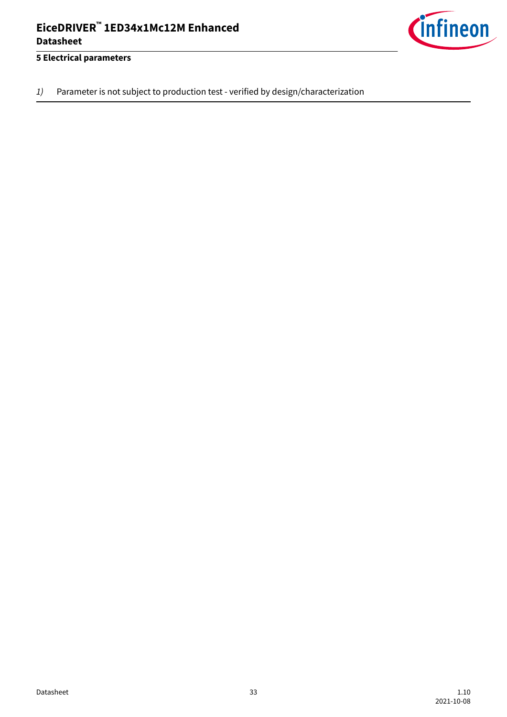

<span id="page-32-0"></span>1) Parameter is not subject to production test - verified by design/characterization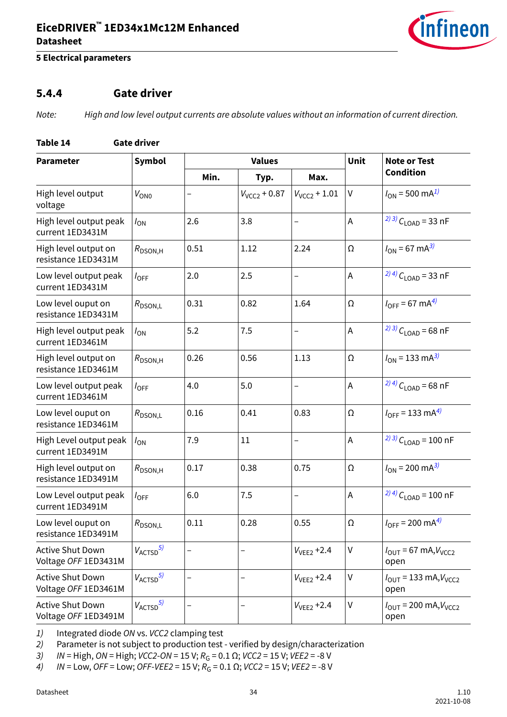

### <span id="page-33-0"></span>**5 Electrical parameters**

### **5.4.4 Gate driver**

Note: High and low level output currents are absolute values without an information of current direction.

### **Table 14 Gate driver**

| <b>Parameter</b>                                | <b>Symbol</b>          |      | <b>Values</b>     | <b>Unit</b>              | <b>Note or Test</b> |                                                            |
|-------------------------------------------------|------------------------|------|-------------------|--------------------------|---------------------|------------------------------------------------------------|
|                                                 |                        | Min. | Typ.              | Max.                     |                     | <b>Condition</b>                                           |
| High level output<br>voltage                    | $V_{ON0}$              | -    | $V_{VCC2} + 0.87$ | $V_{VCC2}$ + 1.01        | $\sf V$             | $I_{ON}$ = 500 mA <sup>1)</sup>                            |
| High level output peak<br>current 1ED3431M      | $I_{ON}$               | 2.6  | 3.8               | $\qquad \qquad -$        | A                   | $^{(2)3)}C_{\text{LOAD}}$ = 33 nF                          |
| High level output on<br>resistance 1ED3431M     | $R_{\text{DSON,H}}$    | 0.51 | 1.12              | 2.24                     | Ω                   | $I_{ON} = 67 \text{ mA}^{3}$                               |
| Low level output peak<br>current 1ED3431M       | $I_{\text{OFF}}$       | 2.0  | 2.5               | $\qquad \qquad -$        | $\mathsf A$         | $^{(2)4)}$ C <sub>LOAD</sub> = 33 nF                       |
| Low level ouput on<br>resistance 1ED3431M       | $R_{\text{DSON,L}}$    | 0.31 | 0.82              | 1.64                     | Ω                   | $I_{\text{OFF}} = 67 \text{ mA}^{4}$                       |
| High level output peak<br>current 1ED3461M      | $I_{ON}$               | 5.2  | 7.5               | $\qquad \qquad -$        | $\mathsf A$         | $^{(2)3)}C_{\text{LOAD}}$ = 68 nF                          |
| High level output on<br>resistance 1ED3461M     | $R_{\text{DSON,H}}$    | 0.26 | 0.56              | 1.13                     | $\Omega$            | $I_{ON}$ = 133 mA <sup>3)</sup>                            |
| Low level output peak<br>current 1ED3461M       | $I_{OFF}$              | 4.0  | 5.0               | $\overline{\phantom{0}}$ | A                   | <sup>2) 4)</sup> $C_{\text{LOAD}}$ = 68 nF                 |
| Low level ouput on<br>resistance 1ED3461M       | $R_{\text{DSON,L}}$    | 0.16 | 0.41              | 0.83                     | Ω                   | $I_{\text{OFF}} = 133 \text{ mA}^{4}$                      |
| High Level output peak<br>current 1ED3491M      | $I_{ON}$               | 7.9  | 11                | $\qquad \qquad -$        | A                   | $^{(2)3)}$ C <sub>LOAD</sub> = 100 nF                      |
| High level output on<br>resistance 1ED3491M     | $R_{\text{DSON,H}}$    | 0.17 | 0.38              | 0.75                     | Ω                   | $I_{ON}$ = 200 mA <sup>3)</sup>                            |
| Low Level output peak<br>current 1ED3491M       | $I_{\text{OFF}}$       | 6.0  | 7.5               | $\qquad \qquad -$        | $\mathsf A$         | <sup>2) 4)</sup> $C_{1 \text{ OAD}}$ = 100 nF              |
| Low level ouput on<br>resistance 1ED3491M       | $R_{\text{DSON,L}}$    | 0.11 | 0.28              | 0.55                     | Ω                   | $I_{\text{OFF}}$ = 200 mA <sup>4)</sup>                    |
| Active Shut Down<br>Voltage OFF 1ED3431M        | $V_{\text{ACTSD}}^{5}$ |      |                   | $V_{VEE2}$ +2.4          | V                   | $I_{\text{OUT}}$ = 67 mA, $V_{\text{VCC2}}$<br>open        |
| <b>Active Shut Down</b><br>Voltage OFF 1ED3461M | $V_{\text{ACTSD}}^{5}$ | —    | -                 | $V_{VFF2} + 2.4$         | $\sf V$             | $I_{\text{OUT}}$ = 133 mA, $V_{\text{VCC}}$<br>open        |
| <b>Active Shut Down</b><br>Voltage OFF 1ED3491M | $V_{\text{ACTSD}}^{5}$ |      |                   | $V_{VEE2}$ +2.4          | V                   | $I_{\text{OUT}} = 200 \text{ mA}, V_{\text{VCC2}}$<br>open |

1) Integrated diode ON vs. VCC2 clamping test

2) Parameter is not subject to production test - verified by design/characterization

3) IN = High, ON = High; VCC2-ON = 15 V;  $R_G = 0.1 \Omega$ ; VCC2 = 15 V; VEE2 = -8 V<br>4) IN = Low, OFF = Low; OFF-VEE2 = 15 V;  $R_G = 0.1 \Omega$ ; VCC2 = 15 V; VEE2 = -8 V

 $4/N =$  Low, OFF = Low; OFF-VEE2 = 15 V;  $R_G = 0.1 \Omega$ ; VCC2 = 15 V; VEE2 = -8 V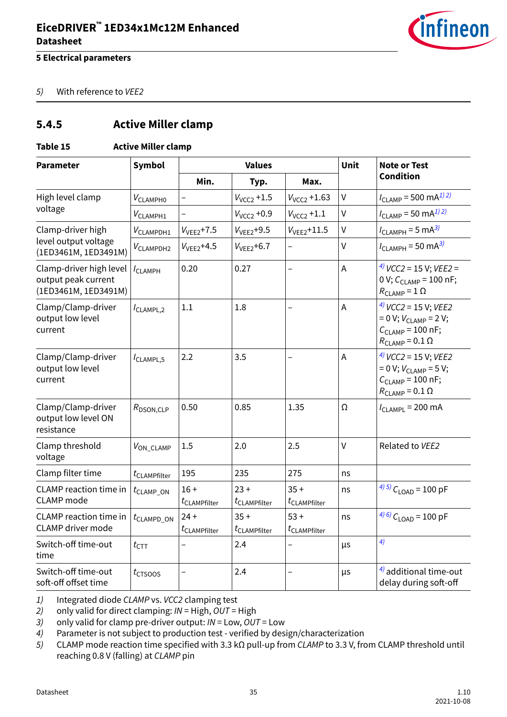

#### <span id="page-34-0"></span>5) With reference to VEE2

### **5.4.5 Active Miller clamp**

### **Table 15 Active Miller clamp**

| <b>Parameter</b>                                                       | <b>Symbol</b>                  |                                    | <b>Values</b>                      |                                    | Unit           | <b>Note or Test</b><br><b>Condition</b>                                                                           |
|------------------------------------------------------------------------|--------------------------------|------------------------------------|------------------------------------|------------------------------------|----------------|-------------------------------------------------------------------------------------------------------------------|
|                                                                        |                                | Min.                               | Typ.                               | Max.                               |                |                                                                                                                   |
| High level clamp                                                       | $V_{CLAMPH0}$                  |                                    | $V_{VCC2}$ +1.5                    | $V_{VCC2}$ +1.63                   | $\mathsf{V}$   | $I_{CLAMP}$ = 500 mA <sup>1) 2)</sup>                                                                             |
| voltage                                                                | $V_{CLAMPH1}$                  |                                    | $V_{VCC2}$ +0.9                    | $V_{VCC2} + 1.1$                   | $\vee$         | $I_{CLAMP}$ = 50 mA <sup>1) 2)</sup>                                                                              |
| Clamp-driver high                                                      | $V_{CLAMPDH1}$                 | $V_{VEE2}$ +7.5                    | $V_{VEE2} + 9.5$                   | $V_{VEE2} + 11.5$                  | V              | $I_{CLAMPH}$ = 5 mA <sup>3)</sup>                                                                                 |
| level output voltage<br>(1ED3461M, 1ED3491M)                           | $V_{CLAMPDH2}$                 | $VVFF2+4.5$                        | $V_{VEE2}$ +6.7                    |                                    | $\vee$         | $I_{CLAMPH}$ = 50 mA <sup>3)</sup>                                                                                |
| Clamp-driver high level<br>output peak current<br>(1ED3461M, 1ED3491M) | $I_{CLAMPH}$                   | 0.20                               | 0.27                               | $\overline{\phantom{0}}$           | $\mathsf A$    | $^{4)}$ VCC2 = 15 V; VEE2 =<br>0 V; $C_{CLAMP}$ = 100 nF;<br>$R_{\text{CLAMP}} = 1 \Omega$                        |
| Clamp/Clamp-driver<br>output low level<br>current                      | $I_{CLAMPL,2}$                 | 1.1                                | 1.8                                |                                    | $\overline{A}$ | $4)$ VCC2 = 15 V; VEE2<br>$= 0 V; VCLAMP = 2 V;$<br>$C_{CLAMP}$ = 100 nF;<br>$R_{\text{CLAMP}}$ = 0.1 $\Omega$    |
| Clamp/Clamp-driver<br>output low level<br>current                      | ICLAMPL,5                      | 2.2                                | 3.5                                | $\qquad \qquad -$                  | A              | $^{4)}$ VCC2 = 15 V; VEE2<br>$= 0 V; VCLAMP = 5 V;$<br>$C_{CLAMP} = 100$ nF;<br>$R_{\text{CLAMP}}$ = 0.1 $\Omega$ |
| Clamp/Clamp-driver<br>output low level ON<br>resistance                | $R_{\text{DSON,CLP}}$          | 0.50                               | 0.85                               | 1.35                               | Ω              | $I_{CLAMPL}$ = 200 mA                                                                                             |
| Clamp threshold<br>voltage                                             | $V_{ON}$ CLAMP                 | 1.5                                | 2.0                                | 2.5                                | $\vee$         | Related to VEE2                                                                                                   |
| Clamp filter time                                                      | $t_{\text{CLAMPfilter}}$       | 195                                | 235                                | 275                                | ns             |                                                                                                                   |
| <b>CLAMP</b> reaction time in<br><b>CLAMP</b> mode                     | $t_{\text{CLAMP\_ON}}$         | $16+$<br>$t_{\text{CLAMPfilter}}$  | $23 +$<br>$t_{\text{CLAMPfilter}}$ | $35 +$<br>$t_{\text{CLAMPfilter}}$ | ns             | $^{(4)5)}$ C <sub>LOAD</sub> = 100 pF                                                                             |
| <b>CLAMP</b> reaction time in<br><b>CLAMP</b> driver mode              | $t_{\text{CLAMPD}\_\text{ON}}$ | $24 +$<br>$t_{\text{CLAMPfilter}}$ | $35 +$<br>$t_{\text{CLAMPfilter}}$ | $53 +$<br>$t_{\text{CLAMPfilter}}$ | ns             | $^{(4) (6)}$ C <sub>LOAD</sub> = 100 pF                                                                           |
| Switch-off time-out<br>time                                            | $t_{\text{CTT}}$               |                                    | 2.4                                |                                    | μs             | 4)                                                                                                                |
| Switch-off time-out<br>soft-off offset time                            | $t_{CTSOOS}$                   |                                    | 2.4                                |                                    | μs             | $4$ ) additional time-out<br>delay during soft-off                                                                |

1) Integrated diode CLAMP vs. VCC2 clamping test

2) only valid for direct clamping:  $IN = High$ ,  $OUT = High$ 

3) only valid for clamp pre-driver output:  $IN = Low$ ,  $OUT = Low$ 

- 4) Parameter is not subject to production test verified by design/characterization
- 5) CLAMP mode reaction time specified with 3.3 kΩ pull-up from CLAMP to 3.3 V, from CLAMP threshold until reaching 0.8 V (falling) at CLAMP pin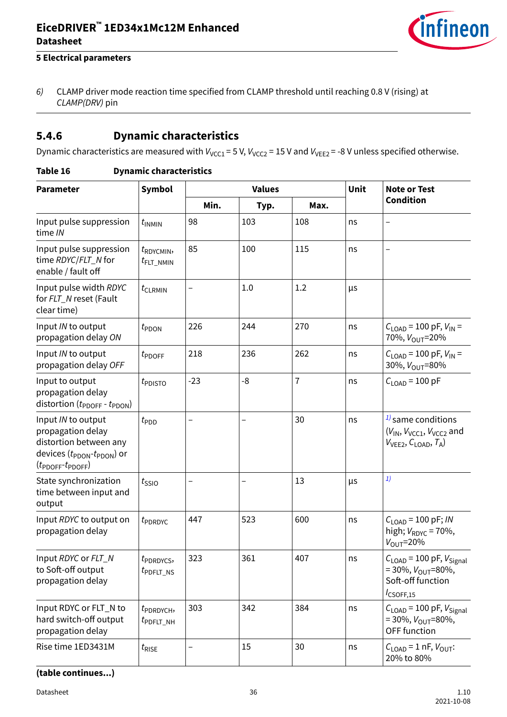

### <span id="page-35-0"></span>**5 Electrical parameters**

6) CLAMP driver mode reaction time specified from CLAMP threshold until reaching 0.8 V (rising) at CLAMP(DRV) pin

### **5.4.6 Dynamic characteristics**

Dynamic characteristics are measured with  $V_{VCC1}$  = 5 V,  $V_{VCC2}$  = 15 V and  $V_{VEE2}$  = -8 V unless specified otherwise.

### **Table 16 Dynamic characteristics**

| <b>Parameter</b>                                                                                                                                            | Symbol                                         |       | <b>Values</b> | <b>Unit</b>    | <b>Note or Test</b> |                                                                                                                                          |
|-------------------------------------------------------------------------------------------------------------------------------------------------------------|------------------------------------------------|-------|---------------|----------------|---------------------|------------------------------------------------------------------------------------------------------------------------------------------|
|                                                                                                                                                             |                                                | Min.  | Typ.          | Max.           |                     | <b>Condition</b>                                                                                                                         |
| Input pulse suppression<br>time IN                                                                                                                          | $t_{INMIN}$                                    | 98    | 103           | 108            | ns                  | —                                                                                                                                        |
| Input pulse suppression<br>time RDYC/FLT_N for<br>enable / fault off                                                                                        | $t_{\text{RDYCMIN}}$<br>$t_{\text{FLT\_NMIN}}$ | 85    | 100           | 115            | ns                  | —                                                                                                                                        |
| Input pulse width RDYC<br>for FLT_N reset (Fault<br>clear time)                                                                                             | $t_{\text{CLRMIN}}$                            | -     | 1.0           | 1.2            | μs                  |                                                                                                                                          |
| Input IN to output<br>propagation delay ON                                                                                                                  | $t_{\text{PDOM}}$                              | 226   | 244           | 270            | ns                  | $C_{\text{LOAD}}$ = 100 pF, $V_{\text{IN}}$ =<br>70%, V <sub>OUT</sub> =20%                                                              |
| Input IN to output<br>propagation delay OFF                                                                                                                 | $t_{\text{PDOFF}}$                             | 218   | 236           | 262            | ns                  | $C_{\text{LOAD}}$ = 100 pF, $V_{\text{IN}}$ =<br>30%, $V_{\text{OUT}} = 80\%$                                                            |
| Input to output<br>propagation delay<br>distortion $(t_{\text{PDOFF}} - t_{\text{PDON}})$                                                                   | $t_{\text{PDISTO}}$                            | $-23$ | $-8$          | $\overline{1}$ | ns                  | $C_{\text{LOAD}}$ = 100 pF                                                                                                               |
| Input IN to output<br>propagation delay<br>distortion between any<br>devices $(t_{\text{PDON}}-t_{\text{PDON}})$ or<br>$(t_{\text{PDOFF}}t_{\text{PDOFF}})$ | $t_{\text{PDD}}$                               | -     |               | 30             | ns                  | $1/2$ same conditions<br>$(V_{\mathsf{IN}}, V_{\mathsf{VCC1}}, V_{\mathsf{VCC2}}$ and<br>$V_{\text{VEE2}}$ , $C_{\text{LOAD}}$ , $T_A$ ) |
| State synchronization<br>time between input and<br>output                                                                                                   | $t_{\text{SSIO}}$                              | -     |               | 13             | μs                  | 1)                                                                                                                                       |
| Input RDYC to output on<br>propagation delay                                                                                                                | $t_{\rm PDRDVC}$                               | 447   | 523           | 600            | ns                  | $C_{1 \text{ OAD}} = 100 \text{ pF}$ ; <i>IN</i><br>high; $V_{\text{RDYC}}$ = 70%,<br>$V_{\text{OUT}}=20\%$                              |
| Input RDYC or FLT_N<br>to Soft-off output<br>propagation delay                                                                                              | $t_{\rm PDRDVCS}$<br>$t_{PDFLT$ <sub>NS</sub>  | 323   | 361           | 407            | ns                  | $C_{\text{LOAD}}$ = 100 pF, $V_{\text{Signal}}$<br>$=$ 30%, $V_{\text{OUT}}$ =80%,<br>Soft-off function<br>$I_{\text{CSOFF},15}$         |
| Input RDYC or FLT_N to<br>hard switch-off output<br>propagation delay                                                                                       | $t_{\rm PDRDYCH}$<br>$t_{PDFLT\_NH}$           | 303   | 342           | 384            | ns                  | $C_{\text{LOAD}}$ = 100 pF, $V_{\text{Signal}}$<br>$=$ 30%, $V_{\text{OUT}}$ =80%,<br>OFF function                                       |
| Rise time 1ED3431M                                                                                                                                          | $t_{\text{RISE}}$                              | -     | 15            | 30             | ns                  | $C_{\text{LOAD}} = 1 \text{ nF}, V_{\text{OUT}}$<br>20% to 80%                                                                           |

**(table continues...)**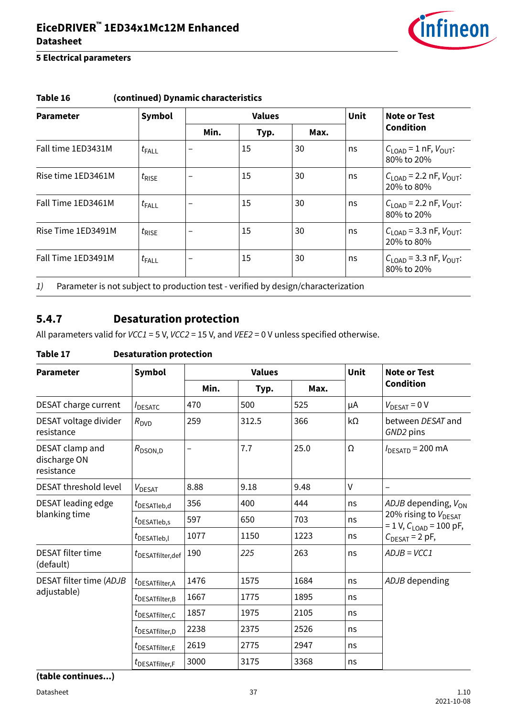

| <b>Parameter</b>   | <b>Symbol</b>     |                          | <b>Values</b> |      |    | Note or Test                                                   |
|--------------------|-------------------|--------------------------|---------------|------|----|----------------------------------------------------------------|
|                    |                   | Min.                     | Typ.          | Max. |    | <b>Condition</b>                                               |
| Fall time 1ED3431M | $t_{\text{FALL}}$ | -                        | 15            | 30   | ns | $C_{\text{LOAD}}$ = 1 nF, $V_{\text{OUT}}$ :<br>80% to 20%     |
| Rise time 1ED3461M | $t_{\text{RISE}}$ | $\overline{\phantom{0}}$ | 15            | 30   | ns | $C_{\text{LOAD}}$ = 2.2 nF, $V_{\text{OUT}}$ :<br>20% to 80%   |
| Fall Time 1ED3461M | $t_{\text{FALL}}$ |                          | 15            | 30   | ns | $C_{1 \text{ OAD}}$ = 2.2 nF, $V_{\text{OUT}}$ :<br>80% to 20% |
| Rise Time 1ED3491M | $t_{\text{RISE}}$ | -                        | 15            | 30   | ns | $C_{\text{LOAD}}$ = 3.3 nF, $V_{\text{OUT}}$ :<br>20% to 80%   |
| Fall Time 1ED3491M | $t_{\text{FALL}}$ |                          | 15            | 30   | ns | $C_{\text{LOAD}}$ = 3.3 nF, $V_{\text{OUT}}$ :<br>80% to 20%   |

### <span id="page-36-0"></span>**Table 16 (continued) Dynamic characteristics**

1) Parameter is not subject to production test - verified by design/characterization

### **5.4.7 Desaturation protection**

All parameters valid for  $VCCI = 5$  V,  $VCC2 = 15$  V, and  $VEE2 = 0$  V unless specified otherwise.

### **Table 17 Desaturation protection**

| <b>Parameter</b>                              | <b>Symbol</b>                          | <b>Values</b> |       |      | <b>Unit</b>  | <b>Note or Test</b>                                          |
|-----------------------------------------------|----------------------------------------|---------------|-------|------|--------------|--------------------------------------------------------------|
|                                               |                                        | Min.          | Typ.  | Max. |              | <b>Condition</b>                                             |
| DESAT charge current                          | <b>IDESATC</b>                         | 470           | 500   | 525  | μA           | $V_{\text{DESAT}} = 0 \text{ V}$                             |
| DESAT voltage divider<br>resistance           | $R_{\text{DVD}}$                       | 259           | 312.5 | 366  | kΩ           | between DESAT and<br>GND2 pins                               |
| DESAT clamp and<br>discharge ON<br>resistance | $R_{\text{DSON,D}}$                    | -             | 7.7   | 25.0 | Ω            | $I_{\text{DESATD}}$ = 200 mA                                 |
| <b>DESAT threshold level</b>                  | V <sub>DESAT</sub>                     | 8.88          | 9.18  | 9.48 | $\mathsf{V}$ |                                                              |
| DESAT leading edge                            | $t_{\scriptsize{\textrm{DESATleb,d}}}$ | 356           | 400   | 444  | ns           | ADJB depending, V <sub>ON</sub>                              |
| blanking time                                 | $t_{\text{DESATleb,s}}$                | 597           | 650   | 703  | ns           | 20% rising to V <sub>DESAT</sub><br>$= 1 V, CLOAD = 100 pF,$ |
|                                               | $t_{\sf DESATleb,l}$                   | 1077          | 1150  | 1223 | ns           | $C_{\text{DESAT}}$ = 2 pF,                                   |
| <b>DESAT filter time</b><br>(default)         | $t_{\text{DESATfilter},\text{def}}$    | 190           | 225   | 263  | ns           | $ADJB = VCC1$                                                |
| DESAT filter time (ADJB                       | $t_{\text{DESATfilter,A}}$             | 1476          | 1575  | 1684 | ns           | ADJB depending                                               |
| adjustable)                                   | $t_{\sf DESATfilter,B}$                | 1667          | 1775  | 1895 | ns           |                                                              |
|                                               | $t_{\sf DESATfilter,C}$                | 1857          | 1975  | 2105 | ns           |                                                              |
|                                               | $t_{\text{DESATfilter},D}$             | 2238          | 2375  | 2526 | ns           |                                                              |
|                                               | $t_{\text{DESATfilter},E}$             | 2619          | 2775  | 2947 | ns           |                                                              |
|                                               | $t_{\text{DESATfilter},F}$             | 3000          | 3175  | 3368 | ns           |                                                              |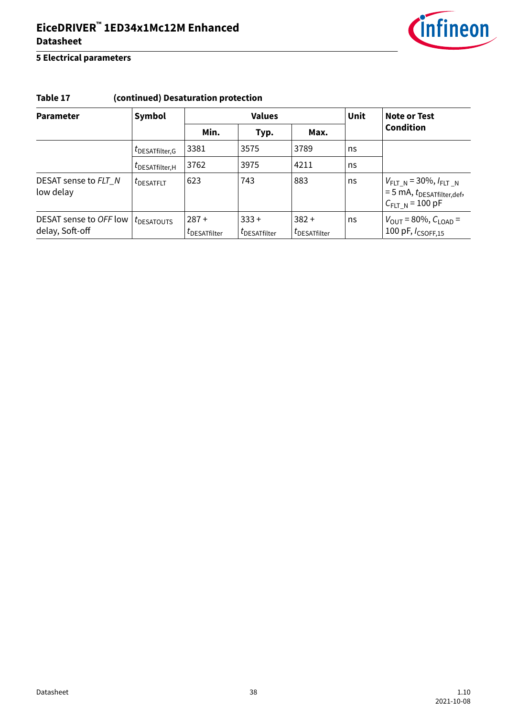

### **5 Electrical parameters**

### **Table 17 (continued) Desaturation protection**

| <b>Parameter</b>                          | Symbol                                |                                 | <b>Values</b>                    | <b>Unit</b>                      | Note or Test |                                                                                                                |
|-------------------------------------------|---------------------------------------|---------------------------------|----------------------------------|----------------------------------|--------------|----------------------------------------------------------------------------------------------------------------|
|                                           |                                       | Min.                            | Typ.                             | Max.                             |              | <b>Condition</b>                                                                                               |
|                                           | UDESATfilter, G                       | 3381                            | 3575                             | 3789                             | ns           |                                                                                                                |
|                                           | UDESATfilter, H                       | 3762                            | 3975                             | 4211                             | ns           |                                                                                                                |
| DESAT sense to FLT_N<br>low delay         | $t_{\text{DESATFIT}}$                 | 623                             | 743                              | 883                              | ns           | $V_{FLT_N}$ = 30%, $I_{FLT_N}$<br>$= 5 \text{ mA}, t_{\text{DESATfilter},\text{def}},$<br>$C_{FLT_N}$ = 100 pF |
| DESAT sense to OFF low<br>delay, Soft-off | $t_{\scriptsize{\textrm{DESATOUTS}}}$ | $287 +$<br><i>L</i> DESATfilter | $333 +$<br>$t_{\sf DESATfilter}$ | $382 +$<br>$t_{\sf DESATfilter}$ | ns           | $V_{\text{OUT}} = 80\%, C_{\text{LOAD}} = 100 \text{ pF}, l_{\text{CSOFF,15}}$                                 |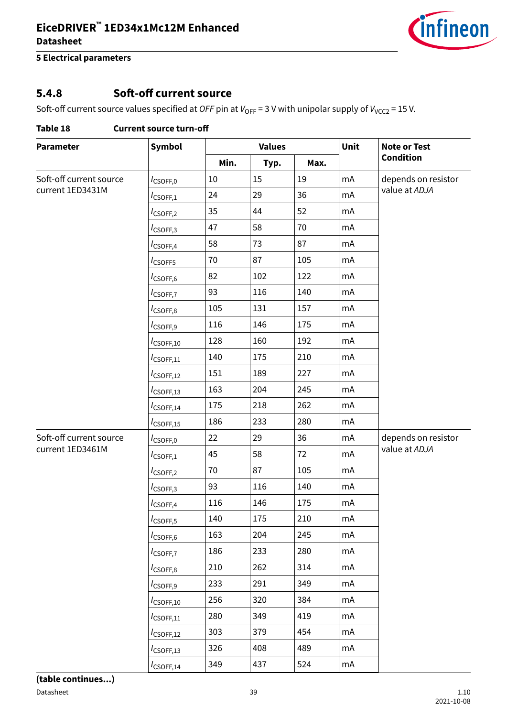

### <span id="page-38-0"></span>**5.4.8 Soft-off current source**

Soft-off current source values specified at OFF pin at  $V_{OFF} = 3$  V with unipolar supply of  $V_{VCC2} = 15$  V.

| <b>Parameter</b>        | <b>Symbol</b>           |      | <b>Values</b> |      | Unit | <b>Note or Test</b> |
|-------------------------|-------------------------|------|---------------|------|------|---------------------|
|                         |                         | Min. | Typ.          | Max. |      | <b>Condition</b>    |
| Soft-off current source | $I_{\text{CSOFF},0}$    | 10   | 15            | 19   | mA   | depends on resistor |
| current 1ED3431M        | $I_{\text{CSOFF},1}$    | 24   | 29            | 36   | mA   | value at ADJA       |
|                         | $I_{\text{CSOFF},2}$    | 35   | 44            | 52   | mA   |                     |
|                         | $I_{\text{CSOFF},3}$    | 47   | 58            | 70   | mA   |                     |
|                         | $I_{\text{CSOFF},4}$    | 58   | 73            | 87   | mA   |                     |
|                         | I <sub>CSOFF5</sub>     | 70   | 87            | 105  | mA   |                     |
|                         | I <sub>CSOFF,6</sub>    | 82   | 102           | 122  | mA   |                     |
|                         | $I_{CSOFF,7}$           | 93   | 116           | 140  | mA   |                     |
|                         | $I_{\text{CSOFF},8}$    | 105  | 131           | 157  | mA   |                     |
|                         | $I_{\text{CSOFF},9}$    | 116  | 146           | 175  | mA   |                     |
|                         | $I_{\text{CSOFF},10}$   | 128  | 160           | 192  | mA   |                     |
|                         | $I_{\text{CSOFF},11}$   | 140  | 175           | 210  | mA   |                     |
|                         | $I_{\text{CSOFF},12}$   | 151  | 189           | 227  | mA   |                     |
|                         | $I_{\text{CSOFF},13}$   | 163  | 204           | 245  | mA   |                     |
|                         | $I_{\text{CSOFF},14}$   | 175  | 218           | 262  | mA   |                     |
|                         | $I_{\text{CSOFF},15}$   | 186  | 233           | 280  | mA   |                     |
| Soft-off current source | $I_{\text{CSOFF},0}$    | 22   | 29            | 36   | mA   | depends on resistor |
| current 1ED3461M        | $I_{\text{CSOFF},1}$    | 45   | 58            | 72   | mA   | value at ADJA       |
|                         | $I_{\text{CSOFF},2}$    | 70   | 87            | 105  | mA   |                     |
|                         | $I_{\text{CSOFF},3}$    | 93   | 116           | 140  | mA   |                     |
|                         | $I_{\text{CSOFF},4}$    | 116  | 146           | 175  | mA   |                     |
|                         | $I_{\text{CSOFF},5}$    | 140  | 175           | 210  | mA   |                     |
|                         | $I_{\text{CSOFF},6}$    | 163  | 204           | 245  | mA   |                     |
|                         | I <sub>CSOFF,7</sub>    | 186  | 233           | 280  | mA   |                     |
|                         | $I_{\text{CSOFF},8}$    | 210  | 262           | 314  | mA   |                     |
|                         | $I_{\text{CSOFF},9}$    | 233  | 291           | 349  | mA   |                     |
|                         | $I_{\textsf{CSOFF},10}$ | 256  | 320           | 384  | mA   |                     |
|                         | $I_{\text{CSOFF},11}$   | 280  | 349           | 419  | mA   |                     |
|                         | $I_{\text{CSOFF},12}$   | 303  | 379           | 454  | mA   |                     |
|                         | $I_{\text{CSOFF},13}$   | 326  | 408           | 489  | mA   |                     |
|                         | $I_{\text{CSOFF},14}$   | 349  | 437           | 524  | mA   |                     |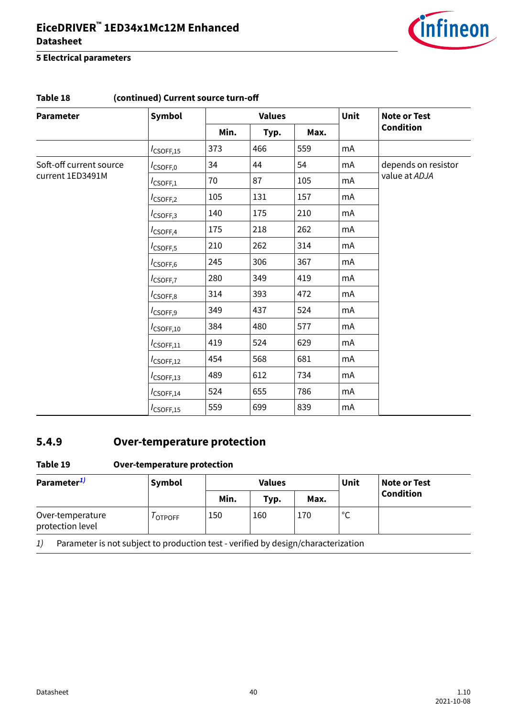

#### <span id="page-39-0"></span>**5 Electrical parameters**

| Table 18                                    | (continued) Current source turn-off |      |               |      |    |                     |
|---------------------------------------------|-------------------------------------|------|---------------|------|----|---------------------|
| <b>Parameter</b>                            | Symbol                              |      | <b>Values</b> |      |    | <b>Note or Test</b> |
|                                             |                                     | Min. | Typ.          | Max. |    | <b>Condition</b>    |
|                                             | $I_{\text{CSOFF},15}$               | 373  | 466           | 559  | mA |                     |
| Soft-off current source<br>current 1ED3491M | $I_{\textsf{CSOFF},0}$              | 34   | 44            | 54   | mA | depends on resistor |
|                                             | $I_{\mathsf{CSOFF},1}$              | 70   | 87            | 105  | mA | value at ADJA       |
|                                             | $I_{\text{CSOFF},2}$                | 105  | 131           | 157  | mA |                     |
|                                             | $I_{\text{CSOFF},3}$                | 140  | 175           | 210  | mA |                     |
|                                             | $I_{\text{CSOFF},4}$                | 175  | 218           | 262  | mA |                     |
|                                             | $I_{\text{CSOFF},5}$                | 210  | 262           | 314  | mA |                     |
|                                             | $I_{\text{CSOFF},6}$                | 245  | 306           | 367  | mA |                     |
|                                             | $I_{\text{CSOFF},7}$                | 280  | 349           | 419  | mA |                     |
|                                             | $I_{\text{CSOFF},8}$                | 314  | 393           | 472  | mA |                     |
|                                             | $I_{\text{CSOFF},9}$                | 349  | 437           | 524  | mA |                     |
|                                             | $I_{\text{CSOFF},10}$               | 384  | 480           | 577  | mA |                     |
|                                             | $I_{\text{CSOFF},11}$               | 419  | 524           | 629  | mA |                     |
|                                             | $I_{\text{CSOFF},12}$               | 454  | 568           | 681  | mA |                     |
|                                             | $I_{\text{CSOFF},13}$               | 489  | 612           | 734  | mA |                     |
|                                             | $I_{\text{CSOFF},14}$               | 524  | 655           | 786  | mA |                     |
|                                             | $I_{\text{CSOFF},15}$               | 559  | 699           | 839  | mA |                     |

# **5.4.9 Over-temperature protection**

#### **Table 19 Over-temperature protection**

| Parameter <sup>1)</sup>              | Symbol                                                                            |      | <b>Values</b> |      | Unit | <b>Note or Test</b><br><b>Condition</b> |
|--------------------------------------|-----------------------------------------------------------------------------------|------|---------------|------|------|-----------------------------------------|
|                                      |                                                                                   | Min. | Typ.          | Max. |      |                                         |
| Over-temperature<br>protection level | I OTPOFF                                                                          | 150  | 160           | 170  | °C   |                                         |
| 1)                                   | Parameter is not subject to production test - verified by design/characterization |      |               |      |      |                                         |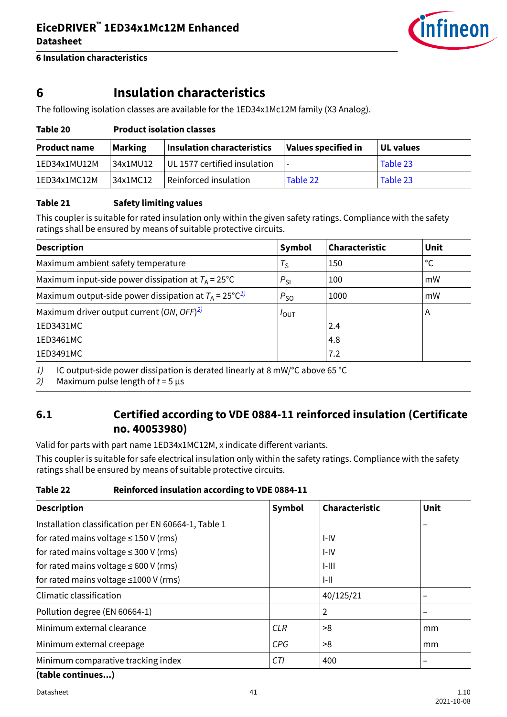

<span id="page-40-0"></span>**6 Insulation characteristics**

## **6 Insulation characteristics**

The following isolation classes are available for the 1ED34x1Mc12M family (X3 Analog).

| <b>Product name</b> | <b>Marking</b> | <b>Insulation characteristics</b> | Values specified in | UL values |  |  |  |
|---------------------|----------------|-----------------------------------|---------------------|-----------|--|--|--|
| 1ED34x1MU12M        | 34x1MU12       | UL 1577 certified insulation      |                     | Table 23  |  |  |  |
| 1ED34x1MC12M        | 34x1MC12       | Reinforced insulation             | Table 22            | Table 23  |  |  |  |

#### **Table 21 Safety limiting values**

**Table 20 Product isolation classes**

This coupler is suitable for rated insulation only within the given safety ratings. Compliance with the safety ratings shall be ensured by means of suitable protective circuits.

| <b>Description</b>                                                 | Symbol           | Characteristic | Unit |
|--------------------------------------------------------------------|------------------|----------------|------|
| Maximum ambient safety temperature                                 | $T_{\rm S}$      | 150            | °C   |
| Maximum input-side power dissipation at $T_A = 25^{\circ}C$        | $P_{SI}$         | 100            | mW   |
| Maximum output-side power dissipation at $T_A = 25^{\circ}C^{1/2}$ | $P_{SO}$         | 1000           | mW   |
| Maximum driver output current (ON, $OFF$ ) <sup>2)</sup>           | $I_{\text{OUT}}$ |                | A    |
| 1ED3431MC                                                          |                  | 2.4            |      |
| 1ED3461MC                                                          |                  | 4.8            |      |
| 1ED3491MC                                                          |                  | 7.2            |      |

1) IC output-side power dissipation is derated linearly at 8 mW/°C above 65 °C

2) Maximum pulse length of  $t = 5 \mu s$ 

### **6.1 Certified according to VDE 0884-11 reinforced insulation (Certificate no. 40053980)**

Valid for parts with part name 1ED34x1MC12M, x indicate different variants.

This coupler is suitable for safe electrical insulation only within the safety ratings. Compliance with the safety ratings shall be ensured by means of suitable protective circuits.

#### **Table 22 Reinforced insulation according to VDE 0884-11**

| <b>Description</b>                                  | <b>Symbol</b> | Characteristic | Unit                     |
|-----------------------------------------------------|---------------|----------------|--------------------------|
| Installation classification per EN 60664-1, Table 1 |               |                |                          |
| for rated mains voltage $\leq$ 150 V (rms)          |               | I-IV           |                          |
| for rated mains voltage $\leq$ 300 V (rms)          |               | I-IV           |                          |
| for rated mains voltage $\leq 600$ V (rms)          |               | $1 - 111$      |                          |
| for rated mains voltage $\leq$ 1000 V (rms)         |               | $I-II$         |                          |
| Climatic classification                             |               | 40/125/21      |                          |
| Pollution degree (EN 60664-1)                       |               | 2              |                          |
| Minimum external clearance                          | <b>CLR</b>    | >8             | mm                       |
| Minimum external creepage                           | <b>CPG</b>    | >8             | mm                       |
| Minimum comparative tracking index                  | <b>CTI</b>    | 400            | $\overline{\phantom{0}}$ |

**(table continues...)**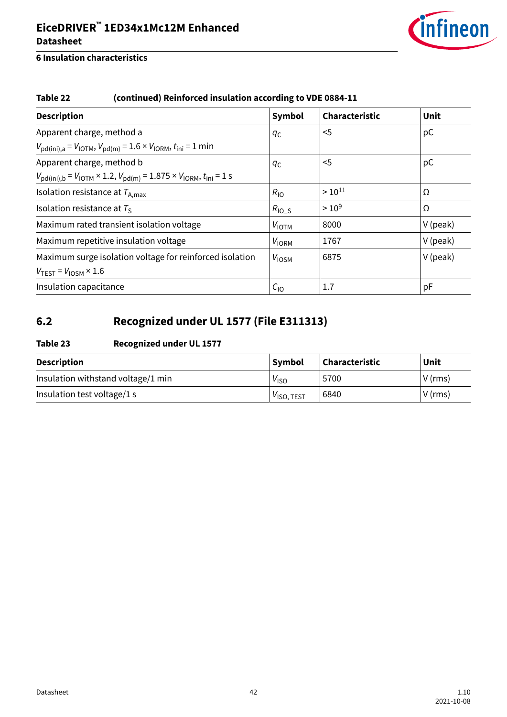

### <span id="page-41-0"></span>**6 Insulation characteristics**

### **Table 22 (continued) Reinforced insulation according to VDE 0884-11**

| <b>Description</b>                                                                                                               | Symbol            | Characteristic | Unit       |
|----------------------------------------------------------------------------------------------------------------------------------|-------------------|----------------|------------|
| Apparent charge, method a                                                                                                        | qс                | $5$            | pC         |
| $V_{\text{pd}(ini),a} = V_{\text{IOTM}}, V_{\text{pd}(m)} = 1.6 \times V_{\text{IORM}}, t_{\text{ini}} = 1 \text{ min}$          |                   |                |            |
| Apparent charge, method b                                                                                                        | qс                | $5$            | pC         |
| $V_{\text{pd}(ini),b} = V_{\text{IOTM}} \times 1.2$ , $V_{\text{pd}(m)} = 1.875 \times V_{\text{IORM}}$ , $t_{\text{ini}} = 1$ s |                   |                |            |
| Isolation resistance at $T_{A,max}$                                                                                              | $R_{\text{IO}}$   | $> 10^{11}$    | Ω          |
| Isolation resistance at $T_s$                                                                                                    | $R_{\text{IO}_S}$ | $>10^{9}$      | Ω          |
| Maximum rated transient isolation voltage                                                                                        | $V_{\text{IOTM}}$ | 8000           | $V$ (peak) |
| Maximum repetitive insulation voltage                                                                                            | V <sub>IORM</sub> | 1767           | $V$ (peak) |
| Maximum surge isolation voltage for reinforced isolation                                                                         | V <sub>IOSM</sub> | 6875           | $V$ (peak) |
| $V_{TEST} = V_{IOSM} \times 1.6$                                                                                                 |                   |                |            |
| Insulation capacitance                                                                                                           | $C_{10}$          | 1.7            | pF         |

# **6.2 Recognized under UL 1577 (File E311313)**

### **Table 23 Recognized under UL 1577**

| <b>Description</b>                 | <b>Symbol</b>          | <b>Characteristic</b> | Unit      |
|------------------------------------|------------------------|-----------------------|-----------|
| Insulation withstand voltage/1 min | V <sub>ISO</sub>       | 5700                  | $V$ (rms) |
| Insulation test voltage/1 s        | V <sub>ISO, TEST</sub> | 6840                  | $V$ (rms) |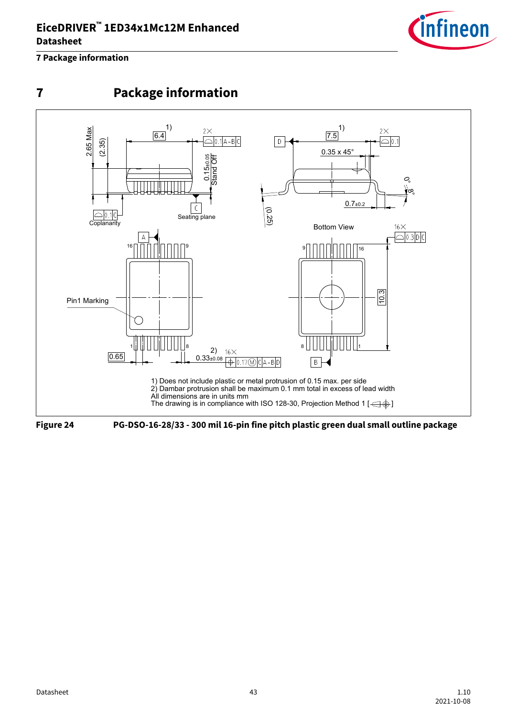

### <span id="page-42-0"></span>**7 Package information**

**7 Package information**





**Figure 24 PG-DSO-16-28/33 - 300 mil 16-pin fine pitch plastic green dual small outline package**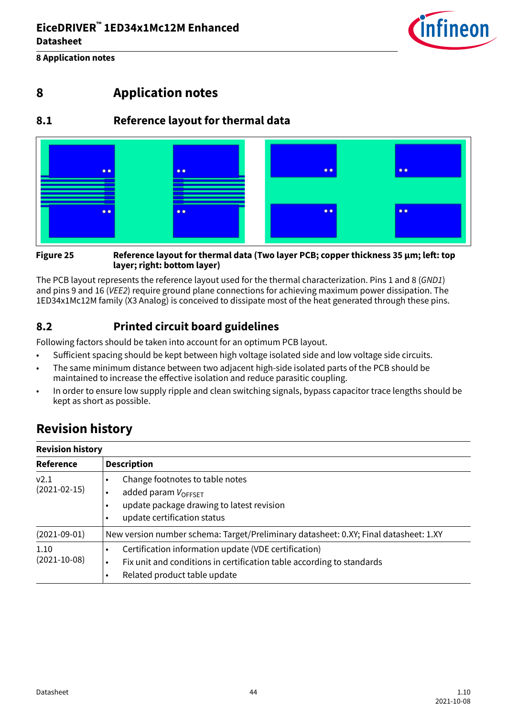

<span id="page-43-0"></span>**8 Application notes**

# **8 Application notes**

### **8.1 Reference layout for thermal data**



#### **Figure 25 Reference layout for thermal data (Two layer PCB; copper thickness 35 μm; left: top layer; right: bottom layer)**

The PCB layout represents the reference layout used for the thermal characterization. Pins 1 and 8 (GND1) and pins 9 and 16 (VEE2) require ground plane connections for achieving maximum power dissipation. The 1ED34x1Mc12M family (X3 Analog) is conceived to dissipate most of the heat generated through these pins.

### **8.2 Printed circuit board guidelines**

Following factors should be taken into account for an optimum PCB layout.

- Sufficient spacing should be kept between high voltage isolated side and low voltage side circuits.
- The same minimum distance between two adjacent high-side isolated parts of the PCB should be maintained to increase the effective isolation and reduce parasitic coupling.
- In order to ensure low supply ripple and clean switching signals, bypass capacitor trace lengths should be kept as short as possible.

# **Revision history**

| <b>Revision history</b>            |                                                                                                                                                               |  |  |
|------------------------------------|---------------------------------------------------------------------------------------------------------------------------------------------------------------|--|--|
| Reference                          | <b>Description</b>                                                                                                                                            |  |  |
| V <sub>2.1</sub><br>$(2021-02-15)$ | Change footnotes to table notes<br>added param $V_{\text{OFFSET}}$<br>update package drawing to latest revision<br>update certification status                |  |  |
| $(2021-09-01)$                     | New version number schema: Target/Preliminary datasheet: 0.XY; Final datasheet: 1.XY                                                                          |  |  |
| 1.10<br>$(2021 - 10 - 08)$         | Certification information update (VDE certification)<br>Fix unit and conditions in certification table according to standards<br>Related product table update |  |  |